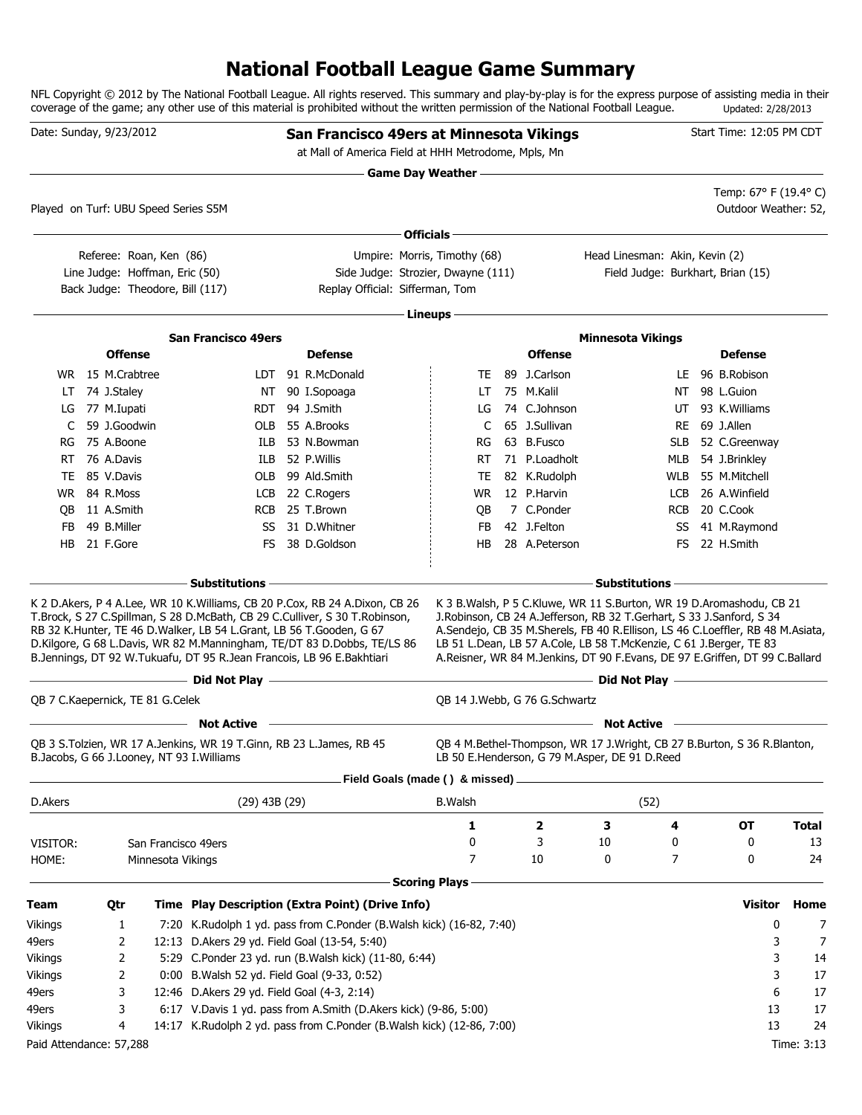### **National Football League Game Summary**

NFL Copyright © 2012 by The National Football League. All rights reserved. This summary and play-by-play is for the express purpose of assisting media in their coverage of the game; any other use of this material is prohibited without the written permission of the National Football League. Updated: 2/28/2013

|           | Date: Sunday, 9/23/2012                                            |                   |                                                                                                                                              | San Francisco 49ers at Minnesota Vikings<br>at Mall of America Field at HHH Metrodome, Mpls, Mn                                                                                                                                       |                          |                                                                                                                                            |                                |            | Start Time: 12:05 PM CDT                                                                                                                                                                                                                 |              |
|-----------|--------------------------------------------------------------------|-------------------|----------------------------------------------------------------------------------------------------------------------------------------------|---------------------------------------------------------------------------------------------------------------------------------------------------------------------------------------------------------------------------------------|--------------------------|--------------------------------------------------------------------------------------------------------------------------------------------|--------------------------------|------------|------------------------------------------------------------------------------------------------------------------------------------------------------------------------------------------------------------------------------------------|--------------|
|           |                                                                    |                   |                                                                                                                                              |                                                                                                                                                                                                                                       | Game Day Weather ——————— |                                                                                                                                            |                                |            |                                                                                                                                                                                                                                          |              |
|           | Played on Turf: UBU Speed Series S5M                               |                   |                                                                                                                                              |                                                                                                                                                                                                                                       |                          |                                                                                                                                            |                                |            | Temp: 67° F (19.4° C)<br>Outdoor Weather: 52,                                                                                                                                                                                            |              |
|           |                                                                    |                   |                                                                                                                                              |                                                                                                                                                                                                                                       | Officials -              |                                                                                                                                            |                                |            |                                                                                                                                                                                                                                          |              |
|           | Referee: Roan, Ken (86)                                            |                   |                                                                                                                                              | Umpire: Morris, Timothy (68)                                                                                                                                                                                                          |                          |                                                                                                                                            | Head Linesman: Akin, Kevin (2) |            |                                                                                                                                                                                                                                          |              |
|           | Line Judge: Hoffman, Eric (50)<br>Back Judge: Theodore, Bill (117) |                   |                                                                                                                                              | Side Judge: Strozier, Dwayne (111)<br>Replay Official: Sifferman, Tom                                                                                                                                                                 |                          |                                                                                                                                            |                                |            | Field Judge: Burkhart, Brian (15)                                                                                                                                                                                                        |              |
|           |                                                                    |                   |                                                                                                                                              |                                                                                                                                                                                                                                       | · Lineups -              |                                                                                                                                            |                                |            |                                                                                                                                                                                                                                          |              |
|           |                                                                    |                   | <b>San Francisco 49ers</b>                                                                                                                   |                                                                                                                                                                                                                                       |                          |                                                                                                                                            | <b>Minnesota Vikings</b>       |            |                                                                                                                                                                                                                                          |              |
|           | <b>Offense</b>                                                     |                   |                                                                                                                                              | <b>Defense</b>                                                                                                                                                                                                                        |                          | <b>Offense</b>                                                                                                                             |                                |            | <b>Defense</b>                                                                                                                                                                                                                           |              |
|           | WR 15 M.Crabtree                                                   |                   |                                                                                                                                              | LDT 91 R.McDonald                                                                                                                                                                                                                     | TE                       | 89 J.Carlson                                                                                                                               |                                | LE         | 96 B.Robison                                                                                                                                                                                                                             |              |
| LT        | 74 J.Staley                                                        |                   | NT                                                                                                                                           | 90 I.Sopoaga                                                                                                                                                                                                                          | LT                       | 75 M.Kalil                                                                                                                                 |                                | NT         | 98 L.Guion                                                                                                                                                                                                                               |              |
| LG        | 77 M.Iupati                                                        |                   | RDT -                                                                                                                                        | 94 J.Smith                                                                                                                                                                                                                            | LG                       | 74 C.Johnson                                                                                                                               |                                | UT         | 93 K.Williams                                                                                                                                                                                                                            |              |
| C         | 59 J.Goodwin                                                       |                   | OLB                                                                                                                                          | 55 A.Brooks                                                                                                                                                                                                                           | C                        | 65 J.Sullivan                                                                                                                              |                                | RE         | 69 J.Allen                                                                                                                                                                                                                               |              |
| RG        | 75 A.Boone                                                         |                   | ILB                                                                                                                                          | 53 N.Bowman                                                                                                                                                                                                                           | RG                       | 63 B.Fusco                                                                                                                                 |                                | <b>SLB</b> | 52 C.Greenway                                                                                                                                                                                                                            |              |
| RT        | 76 A.Davis                                                         |                   | ILB                                                                                                                                          | 52 P.Willis                                                                                                                                                                                                                           | RT                       | 71 P.Loadholt                                                                                                                              |                                | MLB        | 54 J.Brinkley                                                                                                                                                                                                                            |              |
| TE.       | 85 V.Davis                                                         |                   | OLB                                                                                                                                          | 99 Ald.Smith                                                                                                                                                                                                                          | TE                       | 82 K.Rudolph                                                                                                                               |                                | <b>WLB</b> | 55 M.Mitchell                                                                                                                                                                                                                            |              |
|           | WR 84 R.Moss                                                       |                   |                                                                                                                                              | LCB 22 C.Rogers                                                                                                                                                                                                                       | WR.                      | 12 P.Harvin                                                                                                                                |                                | <b>LCB</b> | 26 A.Winfield                                                                                                                                                                                                                            |              |
| QB        | 11 A.Smith                                                         |                   |                                                                                                                                              | RCB 25 T.Brown                                                                                                                                                                                                                        | QB                       | 7 C.Ponder                                                                                                                                 |                                | <b>RCB</b> | 20 C.Cook                                                                                                                                                                                                                                |              |
| <b>FB</b> | 49 B.Miller                                                        |                   | SS                                                                                                                                           | 31 D.Whitner                                                                                                                                                                                                                          | FB                       | 42 J.Felton                                                                                                                                |                                | SS         | 41 M.Raymond                                                                                                                                                                                                                             |              |
| HB        | 21 F.Gore                                                          |                   | FS.                                                                                                                                          | 38 D.Goldson                                                                                                                                                                                                                          | HB                       | 28 A.Peterson                                                                                                                              |                                | FS.        | 22 H.Smith                                                                                                                                                                                                                               |              |
|           |                                                                    |                   | - Substitutions -                                                                                                                            |                                                                                                                                                                                                                                       |                          |                                                                                                                                            | - Substitutions                |            |                                                                                                                                                                                                                                          |              |
|           |                                                                    |                   | RB 32 K.Hunter, TE 46 D.Walker, LB 54 L.Grant, LB 56 T.Gooden, G 67<br>B.Jennings, DT 92 W.Tukuafu, DT 95 R.Jean Francois, LB 96 E.Bakhtiari | K 2 D.Akers, P 4 A.Lee, WR 10 K.Williams, CB 20 P.Cox, RB 24 A.Dixon, CB 26<br>T.Brock, S 27 C.Spillman, S 28 D.McBath, CB 29 C.Culliver, S 30 T.Robinson,<br>D.Kilgore, G 68 L.Davis, WR 82 M.Manningham, TE/DT 83 D.Dobbs, TE/LS 86 |                          | J.Robinson, CB 24 A.Jefferson, RB 32 T.Gerhart, S 33 J.Sanford, S 34<br>LB 51 L.Dean, LB 57 A.Cole, LB 58 T.McKenzie, C 61 J.Berger, TE 83 |                                |            | K 3 B. Walsh, P 5 C. Kluwe, WR 11 S. Burton, WR 19 D. Aromashodu, CB 21<br>A.Sendejo, CB 35 M.Sherels, FB 40 R.Ellison, LS 46 C.Loeffler, RB 48 M.Asiata,<br>A.Reisner, WR 84 M.Jenkins, DT 90 F.Evans, DE 97 E.Griffen, DT 99 C.Ballard |              |
|           |                                                                    |                   | $-$ Did Not Play $-$                                                                                                                         |                                                                                                                                                                                                                                       |                          |                                                                                                                                            |                                |            |                                                                                                                                                                                                                                          |              |
|           | QB 7 C.Kaepernick, TE 81 G.Celek                                   |                   |                                                                                                                                              |                                                                                                                                                                                                                                       |                          | QB 14 J.Webb, G 76 G.Schwartz                                                                                                              |                                |            |                                                                                                                                                                                                                                          |              |
|           |                                                                    |                   | <b>Not Active</b>                                                                                                                            |                                                                                                                                                                                                                                       |                          |                                                                                                                                            | <b>Not Active</b>              |            |                                                                                                                                                                                                                                          |              |
|           | B.Jacobs, G 66 J.Looney, NT 93 I.Williams                          |                   | QB 3 S. Tolzien, WR 17 A. Jenkins, WR 19 T. Ginn, RB 23 L. James, RB 45                                                                      |                                                                                                                                                                                                                                       |                          | LB 50 E.Henderson, G 79 M.Asper, DE 91 D.Reed                                                                                              |                                |            | QB 4 M.Bethel-Thompson, WR 17 J.Wright, CB 27 B.Burton, S 36 R.Blanton,                                                                                                                                                                  |              |
|           |                                                                    |                   |                                                                                                                                              | Field Goals (made () & missed) .                                                                                                                                                                                                      |                          |                                                                                                                                            |                                |            |                                                                                                                                                                                                                                          |              |
| D.Akers   |                                                                    |                   | $(29)$ 43B $(29)$                                                                                                                            |                                                                                                                                                                                                                                       | <b>B.Walsh</b>           |                                                                                                                                            | (52)                           |            |                                                                                                                                                                                                                                          |              |
|           |                                                                    |                   |                                                                                                                                              |                                                                                                                                                                                                                                       | 1                        | 2                                                                                                                                          | 3                              | 4          | <b>OT</b>                                                                                                                                                                                                                                | <b>Total</b> |
| VISITOR:  |                                                                    |                   | San Francisco 49ers                                                                                                                          |                                                                                                                                                                                                                                       | 0                        | 3                                                                                                                                          | 10                             | 0          | 0                                                                                                                                                                                                                                        | 13           |
| HOME:     |                                                                    | Minnesota Vikings |                                                                                                                                              |                                                                                                                                                                                                                                       | 7                        | 10                                                                                                                                         | 0                              | 7          | 0                                                                                                                                                                                                                                        | 24           |
|           |                                                                    |                   |                                                                                                                                              |                                                                                                                                                                                                                                       | <b>Scoring Plays -</b>   |                                                                                                                                            |                                |            |                                                                                                                                                                                                                                          |              |
| Team      | Qtr                                                                |                   |                                                                                                                                              | Time Play Description (Extra Point) (Drive Info)                                                                                                                                                                                      |                          |                                                                                                                                            |                                |            | <b>Visitor</b>                                                                                                                                                                                                                           | Home         |
| Vikings   | 1                                                                  |                   |                                                                                                                                              | 7:20 K.Rudolph 1 yd. pass from C.Ponder (B.Walsh kick) (16-82, 7:40)                                                                                                                                                                  |                          |                                                                                                                                            |                                |            | 0                                                                                                                                                                                                                                        | 7            |
| 49ers     | 2                                                                  |                   | 12:13 D.Akers 29 yd. Field Goal (13-54, 5:40)                                                                                                |                                                                                                                                                                                                                                       |                          |                                                                                                                                            |                                |            | 3                                                                                                                                                                                                                                        | 7            |
| Vikings   | 2                                                                  |                   |                                                                                                                                              | 5:29 C.Ponder 23 yd. run (B.Walsh kick) (11-80, 6:44)                                                                                                                                                                                 |                          |                                                                                                                                            |                                |            | 3                                                                                                                                                                                                                                        | 14           |
| Vikings   | 2                                                                  |                   | 0:00 B. Walsh 52 yd. Field Goal (9-33, 0:52)                                                                                                 |                                                                                                                                                                                                                                       |                          |                                                                                                                                            |                                |            | 3                                                                                                                                                                                                                                        | 17           |
| 49ers     | 3                                                                  |                   | 12:46 D.Akers 29 yd. Field Goal (4-3, 2:14)                                                                                                  |                                                                                                                                                                                                                                       |                          |                                                                                                                                            |                                |            | 6                                                                                                                                                                                                                                        | 17           |
| 49ers     | 3                                                                  |                   |                                                                                                                                              | 6:17 V.Davis 1 yd. pass from A.Smith (D.Akers kick) (9-86, 5:00)                                                                                                                                                                      |                          |                                                                                                                                            |                                |            | 13                                                                                                                                                                                                                                       | 17           |
| Vikings   | 4                                                                  |                   |                                                                                                                                              | 14:17 K.Rudolph 2 yd. pass from C.Ponder (B.Walsh kick) (12-86, 7:00)                                                                                                                                                                 |                          |                                                                                                                                            |                                |            | 13                                                                                                                                                                                                                                       | 24           |
|           | Paid Attendance: 57,288                                            |                   |                                                                                                                                              |                                                                                                                                                                                                                                       |                          |                                                                                                                                            |                                |            |                                                                                                                                                                                                                                          | Time: 3:13   |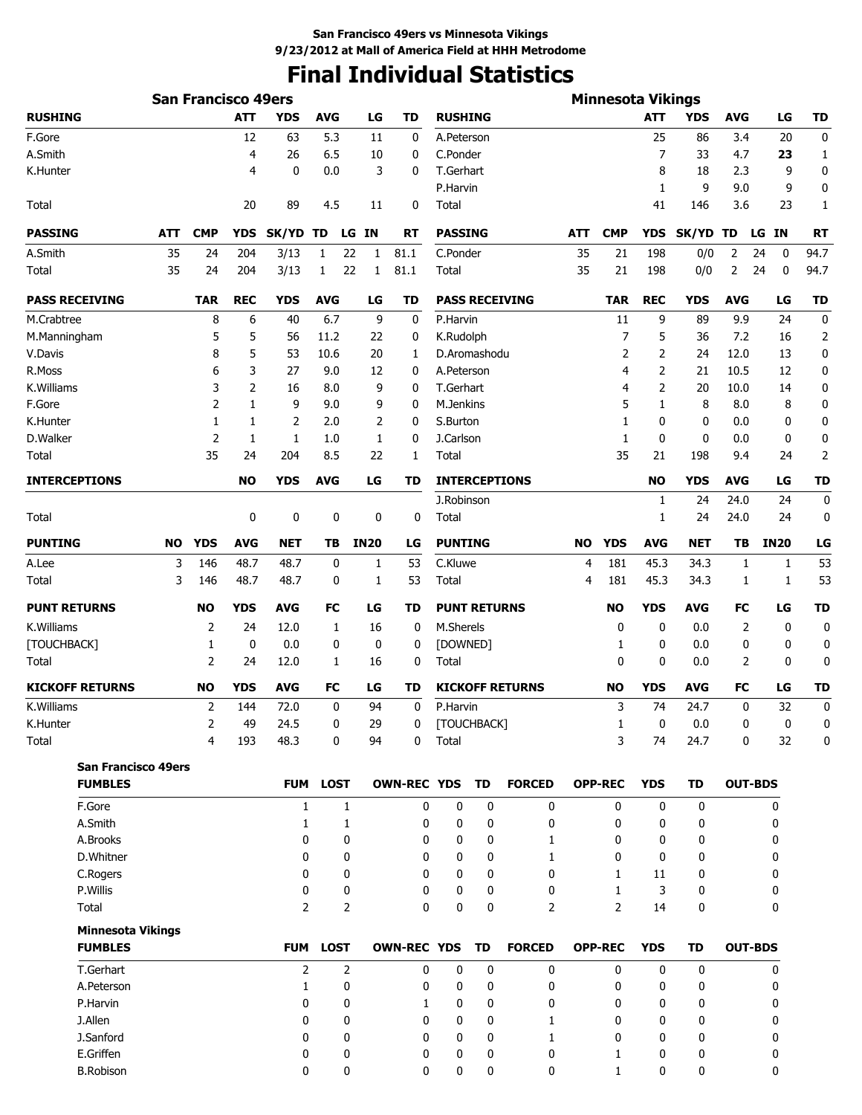# **Final Individual Statistics**

|                            |           | <b>San Francisco 49ers</b> |                |                |              |              |                    |                |                     |                        |            | <b>Minnesota Vikings</b> |                |              |                |             |                  |
|----------------------------|-----------|----------------------------|----------------|----------------|--------------|--------------|--------------------|----------------|---------------------|------------------------|------------|--------------------------|----------------|--------------|----------------|-------------|------------------|
| <b>RUSHING</b>             |           |                            | <b>ATT</b>     | <b>YDS</b>     | <b>AVG</b>   | LG           | TD                 | <b>RUSHING</b> |                     |                        |            |                          | ATT            | YDS          | AVG            | LG          | TD               |
| F.Gore                     |           |                            | 12             | 63             | 5.3          | 11           | 0                  | A.Peterson     |                     |                        |            |                          | 25             | 86           | 3.4            | 20          | 0                |
| A.Smith                    |           |                            | 4              | 26             | 6.5          | 10           | 0                  | C.Ponder       |                     |                        |            |                          | 7              | 33           | 4.7            | 23          | 1                |
| K.Hunter                   |           |                            | 4              | 0              | 0.0          | 3            | 0                  | T.Gerhart      |                     |                        |            |                          | 8              | 18           | 2.3            | 9           | 0                |
|                            |           |                            |                |                |              |              |                    | P.Harvin       |                     |                        |            |                          | 1              | 9            | 9.0            | 9           | 0                |
| Total                      |           |                            | 20             | 89             | 4.5          | 11           | 0                  | Total          |                     |                        |            |                          | 41             | 146          | 3.6            | 23          | 1                |
| <b>PASSING</b>             | ATT       | <b>CMP</b>                 | <b>YDS</b>     | SK/YD TD       |              | LG IN        | RT                 | <b>PASSING</b> |                     |                        | <b>ATT</b> | <b>CMP</b>               | <b>YDS</b>     | <b>SK/YD</b> | TD             | LG IN       | <b>RT</b>        |
| A.Smith                    | 35        | 24                         | 204            | 3/13           | 1            | 22<br>1      | 81.1               | C.Ponder       |                     |                        | 35         | 21                       | 198            | 0/0          | 2              | 0<br>24     | 94.7             |
| Total                      | 35        | 24                         | 204            | 3/13           | 1            | 22<br>1      | 81.1               | Total          |                     |                        | 35         | 21                       | 198            | 0/0          | 2              | 24<br>0     | 94.7             |
| <b>PASS RECEIVING</b>      |           | <b>TAR</b>                 | <b>REC</b>     | <b>YDS</b>     | <b>AVG</b>   | LG           | <b>TD</b>          |                |                     | <b>PASS RECEIVING</b>  |            | <b>TAR</b>               | <b>REC</b>     | <b>YDS</b>   | <b>AVG</b>     | LG          | <b>TD</b>        |
| M.Crabtree                 |           | 8                          | 6              | 40             | 6.7          | 9            | 0                  | P.Harvin       |                     |                        |            | 11                       | 9              | 89           | 9.9            | 24          | 0                |
| M.Manningham               |           | 5                          | 5              | 56             | 11.2         | 22           | 0                  | K.Rudolph      |                     |                        |            | $\overline{7}$           | 5              | 36           | 7.2            | 16          | $\overline{2}$   |
| V.Davis                    |           | 8                          | 5              | 53             | 10.6         | 20           | 1                  |                | D.Aromashodu        |                        |            | 2                        | 2              | 24           | 12.0           | 13          | 0                |
| R.Moss                     |           | 6                          | 3              | 27             | 9.0          | 12           | 0                  | A.Peterson     |                     |                        |            | 4                        | $\overline{2}$ | 21           | 10.5           | 12          | 0                |
| K.Williams                 |           | 3                          | $\overline{2}$ | 16             | 8.0          | 9            | 0                  | T.Gerhart      |                     |                        |            | 4                        | $\overline{2}$ | 20           | 10.0           | 14          | 0                |
| F.Gore                     |           | 2                          | 1              | 9              | 9.0          | 9            | 0                  | M.Jenkins      |                     |                        |            | 5                        | 1              | 8            | 8.0            | 8           | 0                |
| K.Hunter                   |           | 1                          | 1              | 2              | 2.0          | 2            | 0                  | S.Burton       |                     |                        |            | 1                        | 0              | 0            | 0.0            | 0           | 0                |
| D.Walker                   |           | 2                          | 1              | $\mathbf{1}$   | 1.0          | 1            | 0                  | J.Carlson      |                     |                        |            | 1                        | 0              | 0            | 0.0            | 0           | 0                |
| Total                      |           | 35                         | 24             | 204            | 8.5          | 22           | 1                  | Total          |                     |                        |            | 35                       | 21             | 198          | 9.4            | 24          | $\overline{2}$   |
| <b>INTERCEPTIONS</b>       |           |                            | <b>NO</b>      | <b>YDS</b>     | <b>AVG</b>   | LG           | TD                 |                |                     | <b>INTERCEPTIONS</b>   |            |                          | <b>NO</b>      | YDS          | <b>AVG</b>     | LG          | <b>TD</b>        |
|                            |           |                            |                |                |              |              |                    | J.Robinson     |                     |                        |            |                          | 1              | 24           | 24.0           | 24          | 0                |
| Total                      |           |                            | 0              | 0              | 0            | 0            | $\mathbf 0$        | Total          |                     |                        |            |                          | 1              | 24           | 24.0           | 24          | 0                |
| <b>PUNTING</b>             | <b>NO</b> | <b>YDS</b>                 | <b>AVG</b>     | <b>NET</b>     | ΤВ           | <b>IN20</b>  | LG                 | <b>PUNTING</b> |                     |                        | <b>NO</b>  | <b>YDS</b>               | <b>AVG</b>     | <b>NET</b>   | TВ             | <b>IN20</b> | LG               |
| A.Lee                      | 3         | 146                        | 48.7           | 48.7           | 0            | 1            | 53                 | C.Kluwe        |                     |                        | 4          | 181                      | 45.3           | 34.3         | 1              | 1           | 53               |
| Total                      | 3         | 146                        | 48.7           | 48.7           | 0            | 1            | 53                 | Total          |                     |                        | 4          | 181                      | 45.3           | 34.3         | 1              | 1           | 53               |
| <b>PUNT RETURNS</b>        |           | <b>NO</b>                  | <b>YDS</b>     | <b>AVG</b>     | FC           | LG           | TD                 |                | <b>PUNT RETURNS</b> |                        |            | <b>NO</b>                | <b>YDS</b>     | <b>AVG</b>   | FC             | LG          | <b>TD</b>        |
| K.Williams                 |           | $\overline{2}$             | 24             | 12.0           | $\mathbf{1}$ | 16           | 0                  | M.Sherels      |                     |                        |            | 0                        | 0              | 0.0          | 2              | $\mathbf 0$ | $\boldsymbol{0}$ |
| [TOUCHBACK]                |           | 1                          | 0              | 0.0            | 0            | 0            | 0                  | [DOWNED]       |                     |                        |            | 1                        | 0              | 0.0          | 0              | 0           | 0                |
| Total                      |           | 2                          | 24             | 12.0           | 1            | 16           | 0                  | Total          |                     |                        |            | 0                        | 0              | 0.0          | 2              | 0           | 0                |
| <b>KICKOFF RETURNS</b>     |           | <b>NO</b>                  | YDS            | AVG            | FC           | LG           | TD                 |                |                     | <b>KICKOFF RETURNS</b> |            | <b>NO</b>                | <b>YDS</b>     | AVG          | FC             | LG          | TD               |
| K.Williams                 |           | 2                          | 144            | 72.0           | 0            | 94           | 0                  | P.Harvin       |                     |                        |            | 3                        | 74             | 24.7         | 0              | 32          | $\boldsymbol{0}$ |
| K.Hunter                   |           | 2                          | 49             | 24.5           | 0            | 29           | 0                  |                | [TOUCHBACK]         |                        |            | 1                        | $\bf{0}$       | 0.0          | 0              | 0           |                  |
| Total                      |           | $\overline{4}$             | 193            | 48.3           | 0            | 94           | 0                  | Total          |                     |                        |            | 3                        | 74             | 24.7         | 0              | 32          | 0                |
| <b>San Francisco 49ers</b> |           |                            |                |                |              |              |                    |                |                     |                        |            |                          |                |              |                |             |                  |
| <b>FUMBLES</b>             |           |                            |                | <b>FUM</b>     | <b>LOST</b>  |              | <b>OWN-REC YDS</b> |                | <b>TD</b>           | <b>FORCED</b>          |            | <b>OPP-REC</b>           | <b>YDS</b>     | TD           | <b>OUT-BDS</b> |             |                  |
| F.Gore                     |           |                            |                | $\mathbf{1}$   |              | $\mathbf{1}$ | 0                  | 0              | 0                   | 0                      |            | 0                        | 0              | 0            |                | 0           |                  |
| A.Smith                    |           |                            |                | $\mathbf{1}$   |              | 1            | 0                  | 0              | 0                   | 0                      |            | 0                        | 0              | 0            |                | 0           |                  |
| A.Brooks                   |           |                            |                | 0              |              | 0            | 0                  | 0              | 0                   | 1                      |            | 0                        | 0              | 0            |                | 0           |                  |
| D.Whitner                  |           |                            |                | 0              |              | 0            | 0                  | 0              | 0                   | 1                      |            | 0                        | 0              | 0            |                | 0           |                  |
| C.Rogers                   |           |                            |                | 0              |              | 0            | 0                  | 0              | 0                   | 0                      |            | $\mathbf{1}$             | 11             | 0            |                | 0           |                  |
| P.Willis                   |           |                            |                | 0              |              | 0            | 0                  | 0              | 0                   | 0                      |            | $\mathbf{1}$             | 3              | 0            |                | 0           |                  |
| Total                      |           |                            |                | $\overline{2}$ |              | 2            | 0                  | 0              | 0                   | 2                      |            | $\overline{2}$           | 14             | 0            |                | 0           |                  |
| <b>Minnesota Vikings</b>   |           |                            |                |                |              |              |                    |                |                     |                        |            |                          |                |              |                |             |                  |
| <b>FUMBLES</b>             |           |                            |                | <b>FUM</b>     | <b>LOST</b>  |              | <b>OWN-REC YDS</b> |                | <b>TD</b>           | <b>FORCED</b>          |            | <b>OPP-REC</b>           | <b>YDS</b>     | <b>TD</b>    | <b>OUT-BDS</b> |             |                  |
| T.Gerhart                  |           |                            |                | 2              |              | 2            | 0                  | 0              | 0                   | 0                      |            | $\pmb{0}$                | 0              | 0            |                | 0           |                  |
| A.Peterson                 |           |                            |                | $\mathbf{1}$   |              | 0            | 0                  | 0              | 0                   | 0                      |            | 0                        | 0              | 0            |                | 0           |                  |
| P.Harvin                   |           |                            |                | 0              |              | 0            | 1                  | 0              | 0                   | 0                      |            | 0                        | 0              | 0            |                | 0           |                  |
| J.Allen                    |           |                            |                | 0              |              | 0            | 0                  | 0              | 0                   | $\mathbf{1}$           |            | 0                        | 0              | 0            |                | 0           |                  |
| J.Sanford                  |           |                            |                | 0              |              | 0            | 0                  | 0              | 0                   | $\mathbf{1}$           |            | 0                        | 0              | 0            |                | 0           |                  |
| E.Griffen                  |           |                            |                | 0              |              | 0            | 0                  | 0              | 0                   | 0                      |            | 1                        | 0              | 0            |                | 0           |                  |
| <b>B.Robison</b>           |           |                            |                | 0              |              | 0            | $\Omega$           | 0              | 0                   | $\mathbf{0}$           |            | 1                        | 0              | 0            |                | 0           |                  |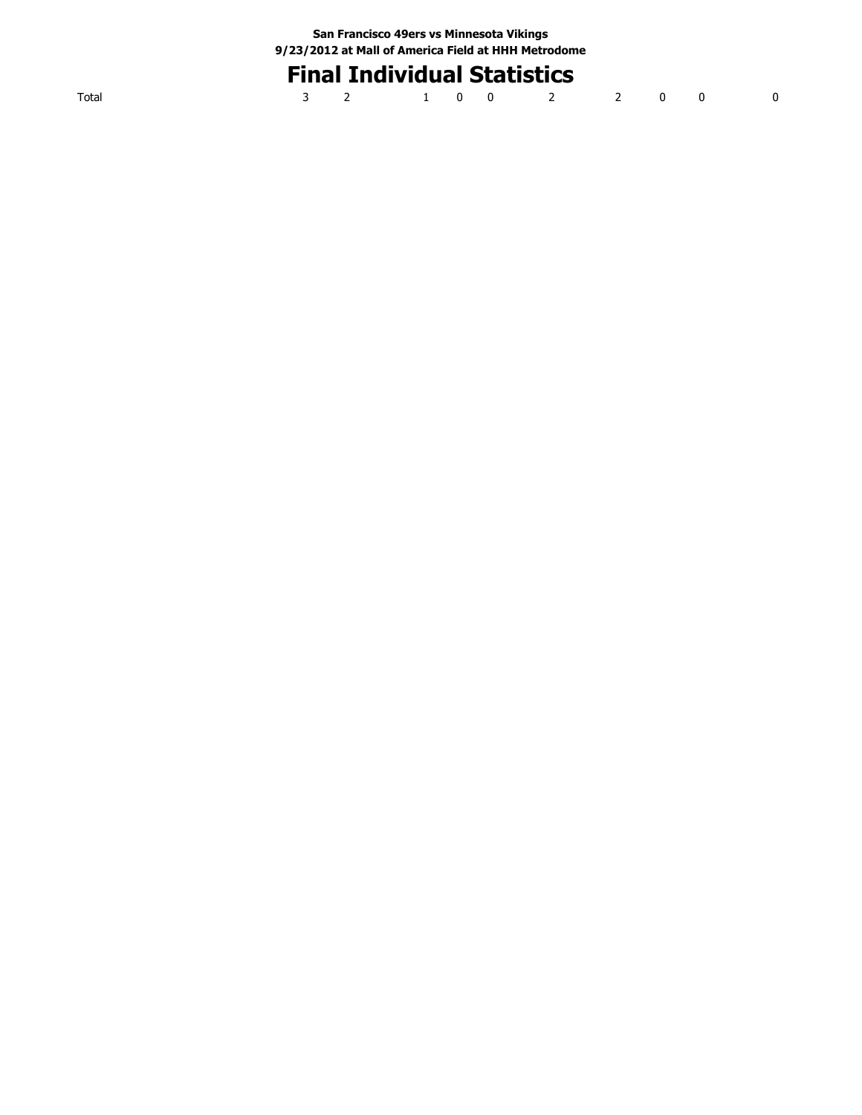# **Final Individual Statistics**

|  | 3 2 1 0 0 2 2 0 0 0 |  |  |  |  |
|--|---------------------|--|--|--|--|
|  |                     |  |  |  |  |

Total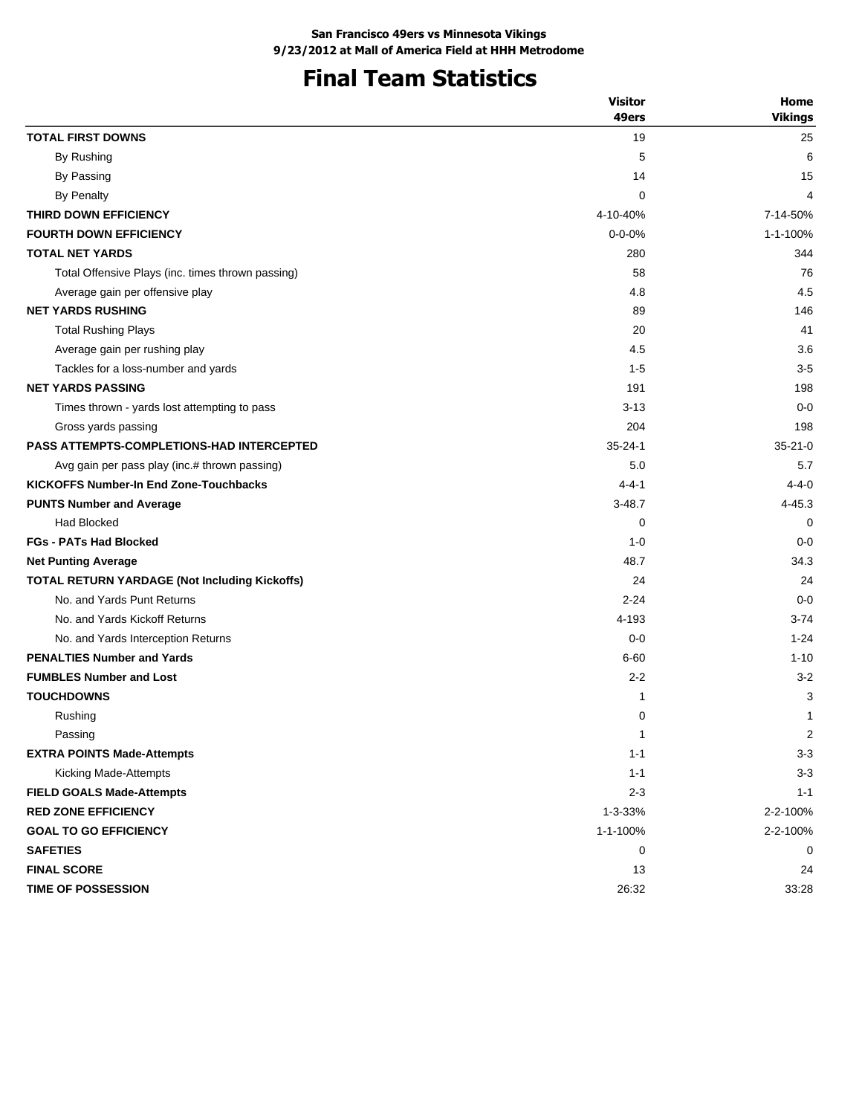# **Final Team Statistics**

| 49ers<br><b>TOTAL FIRST DOWNS</b><br>19<br>25<br>By Rushing<br>5<br>6<br>By Passing<br>15<br>14<br>By Penalty<br>0<br>4<br>THIRD DOWN EFFICIENCY<br>4-10-40%<br>7-14-50%<br><b>FOURTH DOWN EFFICIENCY</b><br>$0 - 0 - 0%$<br>1-1-100%<br><b>TOTAL NET YARDS</b><br>280<br>344<br>58<br>76<br>Total Offensive Plays (inc. times thrown passing)<br>4.5<br>4.8<br>Average gain per offensive play<br><b>NET YARDS RUSHING</b><br>89<br>146<br>20<br>41<br><b>Total Rushing Plays</b><br>3.6<br>4.5<br>Average gain per rushing play<br>$3-5$<br>Tackles for a loss-number and yards<br>$1 - 5$<br><b>NET YARDS PASSING</b><br>191<br>198<br>$0 - 0$<br>Times thrown - yards lost attempting to pass<br>$3-13$<br>204<br>198<br>Gross yards passing<br><b>PASS ATTEMPTS-COMPLETIONS-HAD INTERCEPTED</b><br>$35 - 24 - 1$<br>$35 - 21 - 0$<br>5.0<br>5.7<br>Avg gain per pass play (inc.# thrown passing)<br><b>KICKOFFS Number-In End Zone-Touchbacks</b><br>$4 - 4 - 1$<br>$4 - 4 - 0$<br>$3 - 48.7$<br><b>PUNTS Number and Average</b><br>4-45.3<br><b>Had Blocked</b><br>0<br>0<br><b>FGs - PATs Had Blocked</b><br>$0 - 0$<br>$1 - 0$<br>48.7<br>34.3<br><b>Net Punting Average</b><br><b>TOTAL RETURN YARDAGE (Not Including Kickoffs)</b><br>24<br>24<br>No. and Yards Punt Returns<br>$2 - 24$<br>$0 - 0$<br>No. and Yards Kickoff Returns<br>4-193<br>$3 - 74$<br>No. and Yards Interception Returns<br>$0 - 0$<br>$1 - 24$<br><b>PENALTIES Number and Yards</b><br>$6 - 60$<br><b>FUMBLES Number and Lost</b><br>$2 - 2$<br>$3 - 2$<br><b>TOUCHDOWNS</b><br>3<br>1<br>Rushing<br>0<br>1<br>Passing<br>1<br><b>EXTRA POINTS Made-Attempts</b><br>$1 - 1$<br>$3 - 3$<br>Kicking Made-Attempts<br>$1 - 1$<br>$3 - 3$<br><b>FIELD GOALS Made-Attempts</b><br>$2 - 3$<br>$1 - 1$<br><b>RED ZONE EFFICIENCY</b><br>2-2-100%<br>1-3-33%<br>1-1-100%<br><b>GOAL TO GO EFFICIENCY</b><br>2-2-100%<br><b>SAFETIES</b><br>0<br>0<br><b>FINAL SCORE</b><br>13<br>24 |                    | <b>Visitor</b> | Home           |
|---------------------------------------------------------------------------------------------------------------------------------------------------------------------------------------------------------------------------------------------------------------------------------------------------------------------------------------------------------------------------------------------------------------------------------------------------------------------------------------------------------------------------------------------------------------------------------------------------------------------------------------------------------------------------------------------------------------------------------------------------------------------------------------------------------------------------------------------------------------------------------------------------------------------------------------------------------------------------------------------------------------------------------------------------------------------------------------------------------------------------------------------------------------------------------------------------------------------------------------------------------------------------------------------------------------------------------------------------------------------------------------------------------------------------------------------------------------------------------------------------------------------------------------------------------------------------------------------------------------------------------------------------------------------------------------------------------------------------------------------------------------------------------------------------------------------------------------------------------------------------------------------------------------------------------------------------------------|--------------------|----------------|----------------|
|                                                                                                                                                                                                                                                                                                                                                                                                                                                                                                                                                                                                                                                                                                                                                                                                                                                                                                                                                                                                                                                                                                                                                                                                                                                                                                                                                                                                                                                                                                                                                                                                                                                                                                                                                                                                                                                                                                                                                               |                    |                | <b>Vikings</b> |
|                                                                                                                                                                                                                                                                                                                                                                                                                                                                                                                                                                                                                                                                                                                                                                                                                                                                                                                                                                                                                                                                                                                                                                                                                                                                                                                                                                                                                                                                                                                                                                                                                                                                                                                                                                                                                                                                                                                                                               |                    |                |                |
|                                                                                                                                                                                                                                                                                                                                                                                                                                                                                                                                                                                                                                                                                                                                                                                                                                                                                                                                                                                                                                                                                                                                                                                                                                                                                                                                                                                                                                                                                                                                                                                                                                                                                                                                                                                                                                                                                                                                                               |                    |                |                |
|                                                                                                                                                                                                                                                                                                                                                                                                                                                                                                                                                                                                                                                                                                                                                                                                                                                                                                                                                                                                                                                                                                                                                                                                                                                                                                                                                                                                                                                                                                                                                                                                                                                                                                                                                                                                                                                                                                                                                               |                    |                |                |
|                                                                                                                                                                                                                                                                                                                                                                                                                                                                                                                                                                                                                                                                                                                                                                                                                                                                                                                                                                                                                                                                                                                                                                                                                                                                                                                                                                                                                                                                                                                                                                                                                                                                                                                                                                                                                                                                                                                                                               |                    |                |                |
|                                                                                                                                                                                                                                                                                                                                                                                                                                                                                                                                                                                                                                                                                                                                                                                                                                                                                                                                                                                                                                                                                                                                                                                                                                                                                                                                                                                                                                                                                                                                                                                                                                                                                                                                                                                                                                                                                                                                                               |                    |                |                |
|                                                                                                                                                                                                                                                                                                                                                                                                                                                                                                                                                                                                                                                                                                                                                                                                                                                                                                                                                                                                                                                                                                                                                                                                                                                                                                                                                                                                                                                                                                                                                                                                                                                                                                                                                                                                                                                                                                                                                               |                    |                |                |
|                                                                                                                                                                                                                                                                                                                                                                                                                                                                                                                                                                                                                                                                                                                                                                                                                                                                                                                                                                                                                                                                                                                                                                                                                                                                                                                                                                                                                                                                                                                                                                                                                                                                                                                                                                                                                                                                                                                                                               |                    |                |                |
|                                                                                                                                                                                                                                                                                                                                                                                                                                                                                                                                                                                                                                                                                                                                                                                                                                                                                                                                                                                                                                                                                                                                                                                                                                                                                                                                                                                                                                                                                                                                                                                                                                                                                                                                                                                                                                                                                                                                                               |                    |                |                |
|                                                                                                                                                                                                                                                                                                                                                                                                                                                                                                                                                                                                                                                                                                                                                                                                                                                                                                                                                                                                                                                                                                                                                                                                                                                                                                                                                                                                                                                                                                                                                                                                                                                                                                                                                                                                                                                                                                                                                               |                    |                |                |
|                                                                                                                                                                                                                                                                                                                                                                                                                                                                                                                                                                                                                                                                                                                                                                                                                                                                                                                                                                                                                                                                                                                                                                                                                                                                                                                                                                                                                                                                                                                                                                                                                                                                                                                                                                                                                                                                                                                                                               |                    |                |                |
|                                                                                                                                                                                                                                                                                                                                                                                                                                                                                                                                                                                                                                                                                                                                                                                                                                                                                                                                                                                                                                                                                                                                                                                                                                                                                                                                                                                                                                                                                                                                                                                                                                                                                                                                                                                                                                                                                                                                                               |                    |                |                |
|                                                                                                                                                                                                                                                                                                                                                                                                                                                                                                                                                                                                                                                                                                                                                                                                                                                                                                                                                                                                                                                                                                                                                                                                                                                                                                                                                                                                                                                                                                                                                                                                                                                                                                                                                                                                                                                                                                                                                               |                    |                |                |
|                                                                                                                                                                                                                                                                                                                                                                                                                                                                                                                                                                                                                                                                                                                                                                                                                                                                                                                                                                                                                                                                                                                                                                                                                                                                                                                                                                                                                                                                                                                                                                                                                                                                                                                                                                                                                                                                                                                                                               |                    |                |                |
|                                                                                                                                                                                                                                                                                                                                                                                                                                                                                                                                                                                                                                                                                                                                                                                                                                                                                                                                                                                                                                                                                                                                                                                                                                                                                                                                                                                                                                                                                                                                                                                                                                                                                                                                                                                                                                                                                                                                                               |                    |                |                |
|                                                                                                                                                                                                                                                                                                                                                                                                                                                                                                                                                                                                                                                                                                                                                                                                                                                                                                                                                                                                                                                                                                                                                                                                                                                                                                                                                                                                                                                                                                                                                                                                                                                                                                                                                                                                                                                                                                                                                               |                    |                |                |
|                                                                                                                                                                                                                                                                                                                                                                                                                                                                                                                                                                                                                                                                                                                                                                                                                                                                                                                                                                                                                                                                                                                                                                                                                                                                                                                                                                                                                                                                                                                                                                                                                                                                                                                                                                                                                                                                                                                                                               |                    |                |                |
|                                                                                                                                                                                                                                                                                                                                                                                                                                                                                                                                                                                                                                                                                                                                                                                                                                                                                                                                                                                                                                                                                                                                                                                                                                                                                                                                                                                                                                                                                                                                                                                                                                                                                                                                                                                                                                                                                                                                                               |                    |                |                |
|                                                                                                                                                                                                                                                                                                                                                                                                                                                                                                                                                                                                                                                                                                                                                                                                                                                                                                                                                                                                                                                                                                                                                                                                                                                                                                                                                                                                                                                                                                                                                                                                                                                                                                                                                                                                                                                                                                                                                               |                    |                |                |
|                                                                                                                                                                                                                                                                                                                                                                                                                                                                                                                                                                                                                                                                                                                                                                                                                                                                                                                                                                                                                                                                                                                                                                                                                                                                                                                                                                                                                                                                                                                                                                                                                                                                                                                                                                                                                                                                                                                                                               |                    |                |                |
|                                                                                                                                                                                                                                                                                                                                                                                                                                                                                                                                                                                                                                                                                                                                                                                                                                                                                                                                                                                                                                                                                                                                                                                                                                                                                                                                                                                                                                                                                                                                                                                                                                                                                                                                                                                                                                                                                                                                                               |                    |                |                |
|                                                                                                                                                                                                                                                                                                                                                                                                                                                                                                                                                                                                                                                                                                                                                                                                                                                                                                                                                                                                                                                                                                                                                                                                                                                                                                                                                                                                                                                                                                                                                                                                                                                                                                                                                                                                                                                                                                                                                               |                    |                |                |
|                                                                                                                                                                                                                                                                                                                                                                                                                                                                                                                                                                                                                                                                                                                                                                                                                                                                                                                                                                                                                                                                                                                                                                                                                                                                                                                                                                                                                                                                                                                                                                                                                                                                                                                                                                                                                                                                                                                                                               |                    |                |                |
|                                                                                                                                                                                                                                                                                                                                                                                                                                                                                                                                                                                                                                                                                                                                                                                                                                                                                                                                                                                                                                                                                                                                                                                                                                                                                                                                                                                                                                                                                                                                                                                                                                                                                                                                                                                                                                                                                                                                                               |                    |                |                |
|                                                                                                                                                                                                                                                                                                                                                                                                                                                                                                                                                                                                                                                                                                                                                                                                                                                                                                                                                                                                                                                                                                                                                                                                                                                                                                                                                                                                                                                                                                                                                                                                                                                                                                                                                                                                                                                                                                                                                               |                    |                |                |
|                                                                                                                                                                                                                                                                                                                                                                                                                                                                                                                                                                                                                                                                                                                                                                                                                                                                                                                                                                                                                                                                                                                                                                                                                                                                                                                                                                                                                                                                                                                                                                                                                                                                                                                                                                                                                                                                                                                                                               |                    |                |                |
|                                                                                                                                                                                                                                                                                                                                                                                                                                                                                                                                                                                                                                                                                                                                                                                                                                                                                                                                                                                                                                                                                                                                                                                                                                                                                                                                                                                                                                                                                                                                                                                                                                                                                                                                                                                                                                                                                                                                                               |                    |                |                |
|                                                                                                                                                                                                                                                                                                                                                                                                                                                                                                                                                                                                                                                                                                                                                                                                                                                                                                                                                                                                                                                                                                                                                                                                                                                                                                                                                                                                                                                                                                                                                                                                                                                                                                                                                                                                                                                                                                                                                               |                    |                |                |
|                                                                                                                                                                                                                                                                                                                                                                                                                                                                                                                                                                                                                                                                                                                                                                                                                                                                                                                                                                                                                                                                                                                                                                                                                                                                                                                                                                                                                                                                                                                                                                                                                                                                                                                                                                                                                                                                                                                                                               |                    |                | $1 - 10$       |
|                                                                                                                                                                                                                                                                                                                                                                                                                                                                                                                                                                                                                                                                                                                                                                                                                                                                                                                                                                                                                                                                                                                                                                                                                                                                                                                                                                                                                                                                                                                                                                                                                                                                                                                                                                                                                                                                                                                                                               |                    |                |                |
|                                                                                                                                                                                                                                                                                                                                                                                                                                                                                                                                                                                                                                                                                                                                                                                                                                                                                                                                                                                                                                                                                                                                                                                                                                                                                                                                                                                                                                                                                                                                                                                                                                                                                                                                                                                                                                                                                                                                                               |                    |                |                |
|                                                                                                                                                                                                                                                                                                                                                                                                                                                                                                                                                                                                                                                                                                                                                                                                                                                                                                                                                                                                                                                                                                                                                                                                                                                                                                                                                                                                                                                                                                                                                                                                                                                                                                                                                                                                                                                                                                                                                               |                    |                |                |
|                                                                                                                                                                                                                                                                                                                                                                                                                                                                                                                                                                                                                                                                                                                                                                                                                                                                                                                                                                                                                                                                                                                                                                                                                                                                                                                                                                                                                                                                                                                                                                                                                                                                                                                                                                                                                                                                                                                                                               |                    |                | 2              |
|                                                                                                                                                                                                                                                                                                                                                                                                                                                                                                                                                                                                                                                                                                                                                                                                                                                                                                                                                                                                                                                                                                                                                                                                                                                                                                                                                                                                                                                                                                                                                                                                                                                                                                                                                                                                                                                                                                                                                               |                    |                |                |
|                                                                                                                                                                                                                                                                                                                                                                                                                                                                                                                                                                                                                                                                                                                                                                                                                                                                                                                                                                                                                                                                                                                                                                                                                                                                                                                                                                                                                                                                                                                                                                                                                                                                                                                                                                                                                                                                                                                                                               |                    |                |                |
|                                                                                                                                                                                                                                                                                                                                                                                                                                                                                                                                                                                                                                                                                                                                                                                                                                                                                                                                                                                                                                                                                                                                                                                                                                                                                                                                                                                                                                                                                                                                                                                                                                                                                                                                                                                                                                                                                                                                                               |                    |                |                |
|                                                                                                                                                                                                                                                                                                                                                                                                                                                                                                                                                                                                                                                                                                                                                                                                                                                                                                                                                                                                                                                                                                                                                                                                                                                                                                                                                                                                                                                                                                                                                                                                                                                                                                                                                                                                                                                                                                                                                               |                    |                |                |
|                                                                                                                                                                                                                                                                                                                                                                                                                                                                                                                                                                                                                                                                                                                                                                                                                                                                                                                                                                                                                                                                                                                                                                                                                                                                                                                                                                                                                                                                                                                                                                                                                                                                                                                                                                                                                                                                                                                                                               |                    |                |                |
|                                                                                                                                                                                                                                                                                                                                                                                                                                                                                                                                                                                                                                                                                                                                                                                                                                                                                                                                                                                                                                                                                                                                                                                                                                                                                                                                                                                                                                                                                                                                                                                                                                                                                                                                                                                                                                                                                                                                                               |                    |                |                |
|                                                                                                                                                                                                                                                                                                                                                                                                                                                                                                                                                                                                                                                                                                                                                                                                                                                                                                                                                                                                                                                                                                                                                                                                                                                                                                                                                                                                                                                                                                                                                                                                                                                                                                                                                                                                                                                                                                                                                               |                    |                |                |
|                                                                                                                                                                                                                                                                                                                                                                                                                                                                                                                                                                                                                                                                                                                                                                                                                                                                                                                                                                                                                                                                                                                                                                                                                                                                                                                                                                                                                                                                                                                                                                                                                                                                                                                                                                                                                                                                                                                                                               | TIME OF POSSESSION | 26:32          | 33:28          |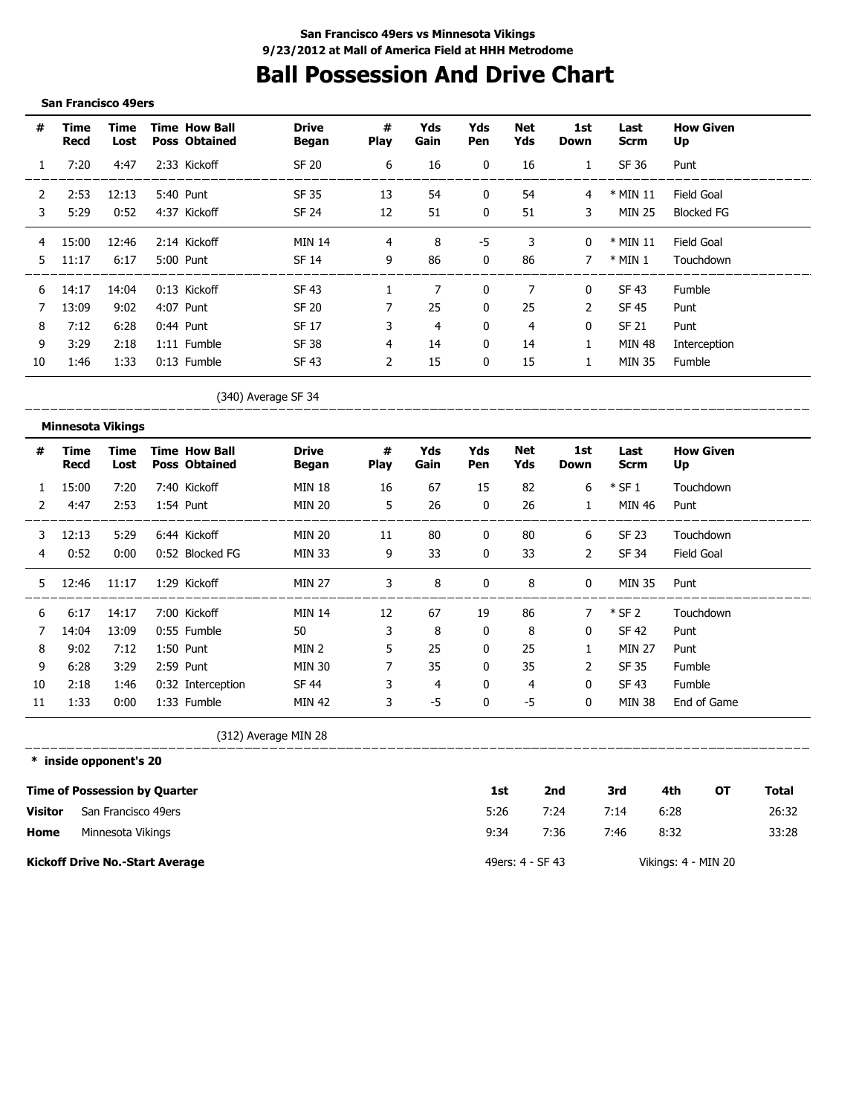## **Ball Possession And Drive Chart**

#### **San Francisco 49ers**

| #  | Time<br>Recd | Time<br>Lost | <b>Time How Ball</b><br><b>Poss Obtained</b> | <b>Drive</b><br>Began | #<br><b>Play</b> | Yds<br>Gain | Yds<br><b>Pen</b> | Net<br>Yds     | 1st<br>Down  | Last<br><b>Scrm</b> | <b>How Given</b><br>Up |
|----|--------------|--------------|----------------------------------------------|-----------------------|------------------|-------------|-------------------|----------------|--------------|---------------------|------------------------|
|    | 7:20         | 4:47         | 2:33 Kickoff                                 | <b>SF 20</b>          | 6                | 16          | $\mathbf{0}$      | 16             | $\mathbf{1}$ | SF 36               | Punt                   |
| 2  | 2:53         | 12:13        | 5:40 Punt                                    | SF 35                 | 13               | 54          | 0                 | 54             | 4            | $*$ MIN 11          | Field Goal             |
| 3  | 5:29         | 0:52         | 4:37 Kickoff                                 | <b>SF 24</b>          | 12               | 51          | $\mathbf{0}$      | 51             | 3            | <b>MIN 25</b>       | <b>Blocked FG</b>      |
| 4  | 15:00        | 12:46        | 2:14 Kickoff                                 | <b>MIN 14</b>         | 4                | 8           | -5                | 3              | $\mathbf{0}$ | $*$ MIN 11          | Field Goal             |
| 5. | 11:17        | 6:17         | 5:00 Punt                                    | SF 14                 | 9                | 86          | $\mathbf{0}$      | 86             | 7            | $*$ MIN 1           | Touchdown              |
| 6  | 14:17        | 14:04        | 0:13 Kickoff                                 | <b>SF 43</b>          |                  | 7           | $\mathbf{0}$      | 7              | $\mathbf{0}$ | SF 43               | <b>Fumble</b>          |
|    | 13:09        | 9:02         | 4:07 Punt                                    | <b>SF 20</b>          |                  | 25          | 0                 | 25             | 2            | SF 45               | Punt                   |
| 8  | 7:12         | 6:28         | $0:44$ Punt                                  | SF 17                 | 3                | 4           | $\mathbf{0}$      | $\overline{4}$ | 0            | <b>SF 21</b>        | Punt                   |
| 9  | 3:29         | 2:18         | 1:11 Fumble                                  | <b>SF 38</b>          | 4                | 14          | 0                 | 14             | $\mathbf{1}$ | MIN 48              | Interception           |
| 10 | 1:46         | 1:33         | $0:13$ Fumble                                | SF 43                 | $\overline{2}$   | 15          | 0                 | 15             |              | <b>MIN 35</b>       | Fumble                 |

#### (340) Average SF 34

\_\_\_\_\_\_\_\_\_\_\_\_\_  $\begin{array}{cccccccccc} \cdots & \cdots & \cdots & \cdots & \cdots \end{array}$ 

|               | <b>Minnesota Vikings</b> |              |                                              |                       |                  |             |              |            |                    |                     |                        |
|---------------|--------------------------|--------------|----------------------------------------------|-----------------------|------------------|-------------|--------------|------------|--------------------|---------------------|------------------------|
| #             | Time<br>Recd             | Time<br>Lost | <b>Time How Ball</b><br><b>Poss Obtained</b> | <b>Drive</b><br>Began | #<br><b>Play</b> | Yds<br>Gain | Yds<br>Pen   | Net<br>Yds | 1st<br><b>Down</b> | Last<br><b>Scrm</b> | <b>How Given</b><br>Up |
|               | 15:00                    | 7:20         | 7:40 Kickoff                                 | <b>MIN 18</b>         | 16               | 67          | 15           | 82         | 6                  | $*$ SF 1            | Touchdown              |
| $\mathcal{P}$ | 4:47                     | 2:53         | 1:54 Punt                                    | <b>MIN 20</b>         | 5                | 26          | $\mathbf{0}$ | 26         | $\mathbf{1}$       | MIN 46              | Punt                   |
| 3             | 12:13                    | 5:29         | 6:44 Kickoff                                 | MIN 20                | 11               | 80          | $\mathbf{0}$ | 80         | 6                  | SF 23               | Touchdown              |
| 4             | 0:52                     | 0:00         | 0:52 Blocked FG                              | <b>MIN 33</b>         | 9                | 33          | $\mathbf{0}$ | 33         | $\overline{2}$     | SF 34               | Field Goal             |
| 5.            | 12:46                    | 11:17        | 1:29 Kickoff                                 | <b>MIN 27</b>         | 3                | 8           | 0            | 8          | $\mathbf 0$        | <b>MIN 35</b>       | Punt                   |
| 6             | 6:17                     | 14:17        | 7:00 Kickoff                                 | <b>MIN 14</b>         | 12               | 67          | 19           | 86         | 7                  | $*$ SF 2            | Touchdown              |
| 7             | 14:04                    | 13:09        | 0:55 Fumble                                  | 50                    | 3                | 8           | $\mathbf{0}$ | 8          | $\mathbf{0}$       | SF 42               | Punt                   |
| 8             | 9:02                     | 7:12         | 1:50 Punt                                    | MIN <sub>2</sub>      | 5                | 25          | $\mathbf{0}$ | 25         | 1                  | <b>MIN 27</b>       | Punt                   |
| 9             | 6:28                     | 3:29         | 2:59 Punt                                    | <b>MIN 30</b>         | 7                | 35          | $\mathbf{0}$ | 35         | $\overline{2}$     | SF 35               | Fumble                 |
| 10            | 2:18                     | 1:46         | 0:32 Interception                            | SF 44                 | 3                | 4           | $\mathbf{0}$ | 4          | $\mathbf{0}$       | SF 43               | Fumble                 |
| 11            | 1:33                     | 0:00         | 1:33 Fumble                                  | <b>MIN 42</b>         | 3                | $-5$        | $\mathbf{0}$ | $-5$       | $\mathbf{0}$       | <b>MIN 38</b>       | End of Game            |

(312) Average MIN 28

**\* inside opponent's 20**

\_\_\_\_\_\_\_\_\_\_\_\_\_\_\_\_\_\_\_\_\_

|                | <b>Time of Possession by Quarter</b>   | 1st              | 2nd  | 3rd  | 4th                 | OТ | Total |
|----------------|----------------------------------------|------------------|------|------|---------------------|----|-------|
| <b>Visitor</b> | San Francisco 49ers                    | 5:26             | 7:24 | 7:14 | 6:28                |    | 26:32 |
| Home           | Minnesota Vikings                      | 9:34             | 7:36 | 7:46 | 8:32                |    | 33:28 |
|                | <b>Kickoff Drive No.-Start Average</b> | 49ers: 4 - SF 43 |      |      | Vikings: 4 - MIN 20 |    |       |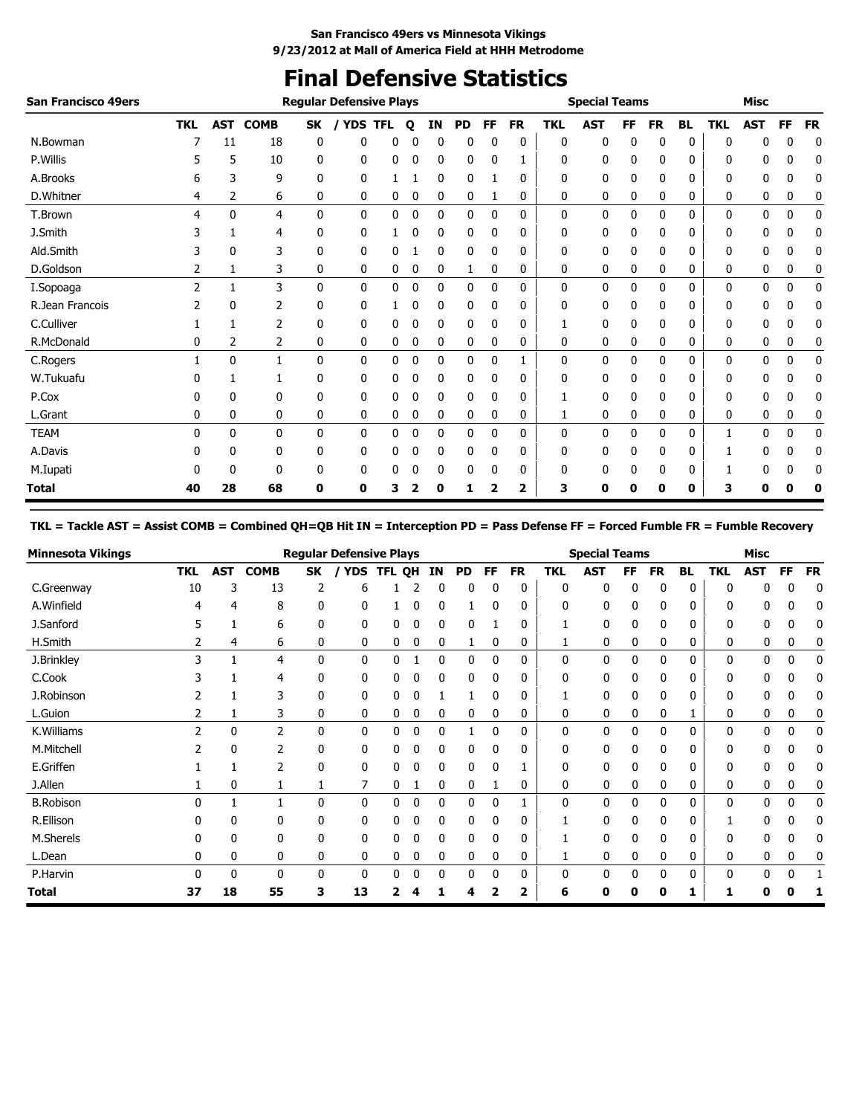## **Final Defensive Statistics**

| <b>San Francisco 49ers</b> |            |              |                 |              | <b>Regular Defensive Plays</b> |            |   |             |           |           |           |              | <b>Special Teams</b> |    |           |              |              | <b>Misc</b> |             |           |
|----------------------------|------------|--------------|-----------------|--------------|--------------------------------|------------|---|-------------|-----------|-----------|-----------|--------------|----------------------|----|-----------|--------------|--------------|-------------|-------------|-----------|
|                            | <b>TKL</b> |              | <b>AST COMB</b> | SK           | <b>YDS</b>                     | <b>TFL</b> | Q | ΙN          | <b>PD</b> | <b>FF</b> | <b>FR</b> | <b>TKL</b>   | <b>AST</b>           | FF | <b>FR</b> | <b>BL</b>    | <b>TKL</b>   | <b>AST</b>  | FF          | <b>FR</b> |
| N.Bowman                   |            | 11           | 18              | 0            | 0                              | Ω          |   | 0           | 0         | 0         | 0         | 0            | 0                    | 0  | 0         | 0            | 0            | 0           | Ω           | 0         |
| P.Willis                   |            | 5            | 10              | 0            | 0                              | 0          | 0 | 0           | 0         | 0         | ı         | 0            | 0                    | 0  | 0         | 0            | 0            | 0           | 0           | 0         |
| A.Brooks                   | 6          | 3            | 9               | 0            | 0                              |            |   | 0           | 0         |           | 0         | 0            | 0                    | 0  | 0         | 0            | 0            | 0           | 0           | 0         |
| D.Whitner                  | 4          | 2            | 6               | 0            | 0                              | 0          | 0 | 0           | 0         | 1         | 0         | 0            | 0                    | 0  | 0         | 0            | 0            | 0           | 0           | 0         |
| T.Brown                    | 4          | $\mathbf{0}$ | 4               | $\mathbf{0}$ | $\mathbf{0}$                   | 0          | 0 | $\mathbf 0$ | 0         | 0         | 0         | $\mathbf{0}$ | 0                    | 0  | 0         | 0            | 0            | 0           | $\mathbf 0$ | 0         |
| J.Smith                    |            | 1            | 4               | 0            | 0                              |            |   | 0           | 0         | 0         | 0         | 0            | 0                    | 0  | 0         | 0            | 0            | 0           | 0           | 0         |
| Ald.Smith                  |            | 0            | 3               | 0            | 0                              | 0          |   | $\mathbf 0$ | 0         | 0         | 0         | 0            | 0                    | 0  | 0         | 0            | 0            | 0           | 0           | 0         |
| D.Goldson                  | 2          | 1            | 3               | 0            | 0                              | 0          | 0 | 0           | 1         | 0         | 0         | 0            | 0                    | 0  | 0         | 0            | 0            | 0           | 0           | 0         |
| I.Sopoaga                  | 2          |              | 3               | $\mathbf{0}$ | $\mathbf{0}$                   | 0          | 0 | $\mathbf 0$ | 0         | 0         | 0         | $\mathbf{0}$ | 0                    | 0  | 0         | $\mathbf{0}$ | $\mathbf{0}$ | 0           | $\mathbf 0$ | 0         |
| R.Jean Francois            |            | 0            | 2               | 0            | 0                              |            | 0 | 0           | 0         | 0         | 0         | 0            | 0                    | 0  | 0         | 0            | 0            | 0           | 0           | 0         |
| C.Culliver                 |            | 1            | 2               | 0            | 0                              | 0          |   | 0           | 0         | 0         | 0         |              | 0                    | 0  | 0         | 0            | 0            | 0           | 0           | 0         |
| R.McDonald                 | 0          | 2            | 2               | 0            | 0                              | 0          | 0 | 0           | 0         | 0         | 0         | 0            | 0                    | 0  | 0         | 0            | 0            | 0           | 0           | 0         |
| C.Rogers                   |            | 0            | 1               | 0            | 0                              | 0          | 0 | $\mathbf 0$ | 0         | 0         | 1         | 0            | 0                    | 0  | 0         | 0            | 0            | 0           | $\mathbf 0$ | 0         |
| W.Tukuafu                  |            |              |                 | 0            | 0                              | 0          |   | 0           | 0         | 0         | 0         | 0            | 0                    | 0  | 0         | 0            | 0            | 0           | 0           | 0         |
| P.Cox                      | 0          | 0            | 0               | 0            | 0                              | 0          | 0 | 0           | 0         | 0         | 0         | 1            | 0                    | 0  | 0         | 0            | 0            | 0           | 0           | 0         |
| L.Grant                    | 0          | 0            | 0               | 0            | 0                              | 0          | 0 | 0           | 0         | 0         | 0         | 1            | 0                    | 0  | 0         | 0            | 0            | 0           | 0           | 0         |
| <b>TEAM</b>                | 0          | $\mathbf{0}$ | $\mathbf{0}$    | $\mathbf{0}$ | $\mathbf{0}$                   | 0          | 0 | 0           | 0         | 0         | 0         | $\mathbf{0}$ | 0                    | 0  | 0         | $\mathbf{0}$ | 1            | 0           | 0           | 0         |
| A.Davis                    | 0          | 0            | 0               | 0            | 0                              | 0          | C | 0           | 0         | 0         | 0         | 0            | 0                    | 0  | 0         | 0            |              | 0           | 0           | 0         |
| M.Iupati                   |            | 0            | 0               | 0            | 0                              | 0          |   | 0           | 0         | 0         | 0         | 0            | 0                    | 0  | 0         | 0            |              | 0           | 0           | 0         |
| Total                      | 40         | 28           | 68              | 0            | 0                              | з          | 2 | 0           | 1         | 2         | 2         | 3            | 0                    | 0  | 0         | 0            | з            | 0           | n           | 0         |

### **TKL = Tackle AST = Assist COMB = Combined QH=QB Hit IN = Interception PD = Pass Defense FF = Forced Fumble FR = Fumble Recovery**

| <b>Minnesota Vikings</b> |            |              |                |    | <b>Reqular Defensive Plays</b> |               |   |           |    |              |           |            | <b>Special Teams</b> |          |           |           |              | <b>Misc</b> |             |           |
|--------------------------|------------|--------------|----------------|----|--------------------------------|---------------|---|-----------|----|--------------|-----------|------------|----------------------|----------|-----------|-----------|--------------|-------------|-------------|-----------|
|                          | <b>TKL</b> | <b>AST</b>   | <b>COMB</b>    | SK | <b>YDS</b>                     | <b>TFL QH</b> |   | <b>IN</b> | PD | <b>FF</b>    | <b>FR</b> | <b>TKL</b> | <b>AST</b>           | FF       | <b>FR</b> | <b>BL</b> | <b>TKL</b>   | <b>AST</b>  | FF          | <b>FR</b> |
| C.Greenway               | 10         |              | 13             |    | 6                              |               |   | 0         | 0  |              | 0         | 0          | 0                    | $\Omega$ | 0         | 0         | $\Omega$     |             |             | 0         |
| A.Winfield               | 4          | 4            | 8              | 0  | 0                              |               |   | 0         |    | $\Omega$     | 0         | 0          | 0                    | 0        | 0         | 0         | 0            | 0           | 0           | 0         |
| J.Sanford                |            |              | 6              | 0  | 0                              | 0             | 0 | 0         | 0  |              | 0         |            | 0                    | 0        | 0         | 0         | 0            | 0           | 0           |           |
| H.Smith                  |            | 4            | 6              | 0  | 0                              | 0             | 0 | 0         |    | 0            | 0         | 1          | 0                    | 0        | 0         | 0         | 0            | 0           | 0           | 0         |
| J.Brinkley               | 3          |              | 4              | 0  | $\mathbf{0}$                   | 0             |   | 0         | 0  | 0            | 0         | 0          | 0                    | 0        | 0         | 0         | 0            | 0           | $\mathbf 0$ | 0         |
| C.Cook                   |            |              | 4              | 0  | 0                              | 0             |   | 0         | 0  |              | 0         |            | 0                    |          | 0         | 0         | 0            | 0           | 0           |           |
| J.Robinson               |            |              | 3              | 0  | 0                              | 0             |   |           |    |              | 0         |            | 0                    |          | 0         | 0         | 0            | 0           |             |           |
| L.Guion                  | 2          |              | 3              | 0  | 0                              | 0             | 0 | 0         | 0  | 0            | 0         | 0          | 0                    | 0        | 0         |           | 0            | 0           | 0           | 0         |
| K.Williams               | 2          | $\mathbf{0}$ | $\overline{2}$ | 0  | $\mathbf{0}$                   | 0             | 0 | 0         |    | $\mathbf{0}$ | 0         | 0          | 0                    | 0        | 0         | 0         | $\mathbf{0}$ | 0           | 0           | 0         |
| M.Mitchell               |            | $\mathbf{0}$ | $\overline{2}$ | 0  | 0                              | 0             | 0 | 0         | 0  | 0            | 0         | 0          | 0                    | 0        | 0         | 0         | 0            | 0           | 0           | 0         |
| E.Griffen                |            |              | $\overline{2}$ | 0  | 0                              | 0             | 0 | 0         | 0  | 0            |           | 0          | 0                    | 0        | 0         | 0         | 0            | 0           | 0           |           |
| J.Allen                  |            | 0            |                |    | 7                              | 0             |   | 0         | 0  |              | 0         | 0          | 0                    | 0        | 0         | 0         | 0            | 0           | 0           | 0         |
| <b>B.Robison</b>         |            |              |                | 0  | $\mathbf{0}$                   | 0             | 0 | 0         | 0  | $\mathbf{0}$ |           | 0          | 0                    | 0        | 0         | 0         | $\mathbf{0}$ | 0           | 0           | 0         |
| R.Ellison                |            |              | 0              | 0  | 0                              | 0             |   | 0         | 0  |              | 0         |            | 0                    |          | 0         | 0         |              | 0           |             |           |
| M.Sherels                |            | 0            | 0              | 0  | 0                              | 0             |   | 0         | 0  |              | 0         |            | 0                    |          | 0         | 0         | $\Omega$     | 0           |             |           |
| L.Dean                   | 0          | 0            | 0              | 0  | 0                              | 0             | 0 | 0         | 0  | 0            | 0         |            | 0                    | 0        | 0         | 0         | 0            | 0           | 0           | 0         |
| P.Harvin                 | 0          | 0            | 0              | 0  | $\mathbf{0}$                   | 0             | 0 | 0         | 0  | $\Omega$     | 0         | 0          | 0                    | 0        | 0         | 0         | 0            | 0           | 0           |           |
| Total                    | 37         | 18           | 55             | 3  | 13                             |               |   |           | Δ  |              | 2         | 6          | 0                    | 0        | 0         |           |              |             |             |           |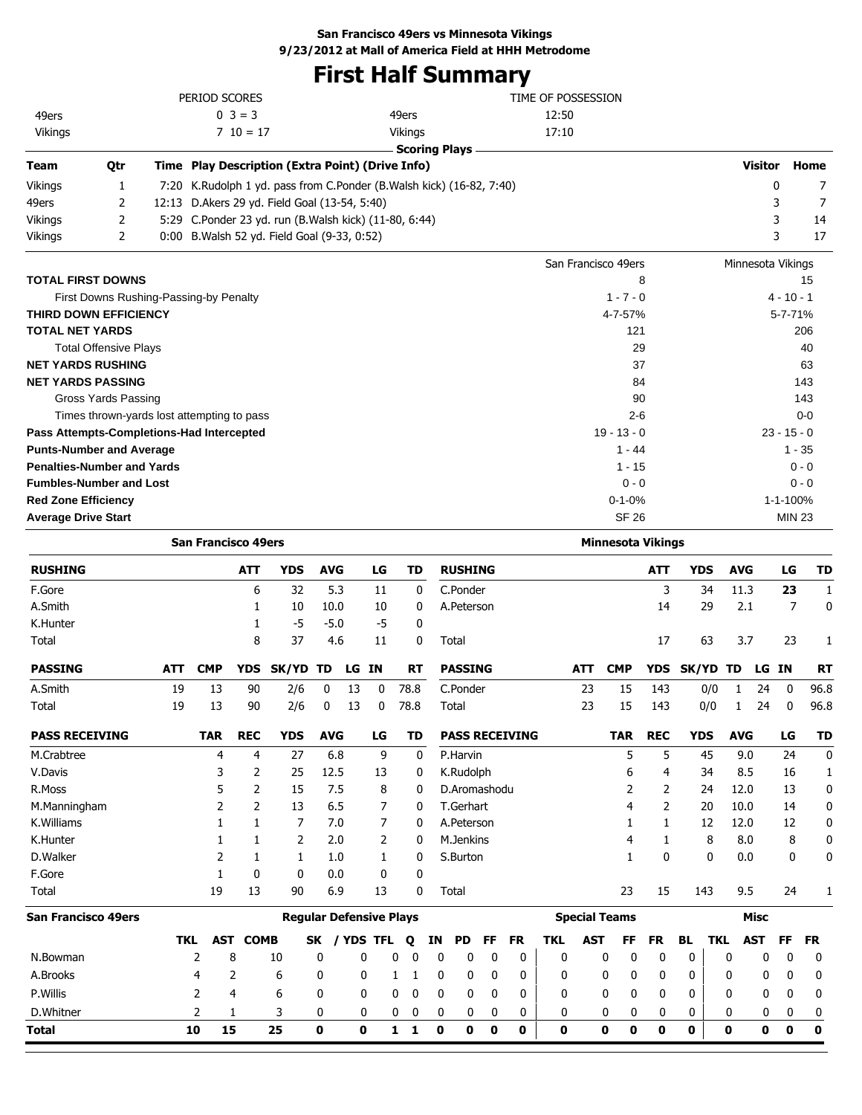# **First Half Summary**

| $0 \ 3 = 3$<br>49ers<br>12:50<br>49ers<br>17:10<br>Vikings<br>$7\;10=17$<br><b>Vikings</b><br><b>Scoring Plays</b><br><b>Visitor</b><br>Time Play Description (Extra Point) (Drive Info)<br>Home<br>Qtr<br>Team<br>Vikings<br>1<br>K.Rudolph 1 yd. pass from C.Ponder (B.Walsh kick) (16-82, 7:40)<br>0<br>7:20<br>7<br>2<br>3<br>12:13 D.Akers 29 yd. Field Goal (13-54, 5:40)<br>7<br>49ers<br>2<br>3<br>5:29 C.Ponder 23 yd. run (B.Walsh kick) (11-80, 6:44)<br>Vikings<br>14<br>3<br>2<br>17<br>0:00 B. Walsh 52 yd. Field Goal (9-33, 0:52)<br>Vikings<br>San Francisco 49ers<br>Minnesota Vikings<br><b>TOTAL FIRST DOWNS</b><br>8<br>15<br>$1 - 7 - 0$<br>$4 - 10 - 1$<br>First Downs Rushing-Passing-by Penalty<br>THIRD DOWN EFFICIENCY<br>4-7-57%<br>5-7-71%<br><b>TOTAL NET YARDS</b><br>121<br>206<br><b>Total Offensive Plays</b><br>29<br>40<br><b>NET YARDS RUSHING</b><br>37<br>63<br><b>NET YARDS PASSING</b><br>84<br>143<br>90<br>143<br>Gross Yards Passing<br>Times thrown-yards lost attempting to pass<br>$2 - 6$<br>$0 - 0$<br>$19 - 13 - 0$<br>$23 - 15 - 0$<br>Pass Attempts-Completions-Had Intercepted<br><b>Punts-Number and Average</b><br>$1 - 44$<br>$1 - 35$<br><b>Penalties-Number and Yards</b><br>$0 - 0$<br>$1 - 15$<br><b>Fumbles-Number and Lost</b><br>$0 - 0$<br>$0 - 0$<br>1-1-100%<br><b>Red Zone Efficiency</b><br>$0 - 1 - 0%$<br><b>SF 26</b><br><b>Average Drive Start</b><br><b>MIN 23</b><br><b>San Francisco 49ers</b><br><b>Minnesota Vikings</b><br><b>RUSHING</b><br><b>YDS</b><br><b>AVG</b><br><b>RUSHING</b><br><b>YDS</b><br><b>AVG</b><br>ATT<br>LG<br>TD<br>ATT<br>LG<br>F.Gore<br>6<br>32<br>5.3<br>C.Ponder<br>3<br>34<br>11.3<br>1<br>11<br>0<br>23<br>A.Smith<br>2.1<br>7<br>0<br>1<br>10<br>10.0<br>10<br>0<br>A.Peterson<br>14<br>29<br>K.Hunter<br>-5<br>$-5.0$<br>-5<br>$\mathbf 0$<br>1<br>8<br>37<br>Total<br>4.6<br>11<br>0<br>Total<br>17<br>63<br>3.7<br>23<br><b>PASSING</b><br><b>PASSING</b><br>ATT<br><b>CMP</b><br>YDS<br>SK/YD TD<br>LG IN<br>RT<br>ATT<br><b>CMP</b><br><b>YDS</b><br>SK/YD TD<br>LG IN<br>RT<br>A.Smith<br>19<br>13<br>78.8<br>C.Ponder<br>23<br>15<br>90<br>2/6<br>0<br>13<br>0<br>143<br>0/0<br>1<br>24<br>0<br>19<br>13<br>2/6<br>13<br>78.8<br>23<br>15<br>0/0<br>1<br>24<br>96.8<br>Total<br>90<br>0<br>0<br>Total<br>143<br>0<br><b>REC</b><br><b>AVG</b><br><b>REC</b><br><b>PASS RECEIVING</b><br><b>TAR</b><br><b>YDS</b><br>LG<br>TD<br><b>PASS RECEIVING</b><br><b>TAR</b><br><b>YDS</b><br><b>AVG</b><br>LG<br>9<br>5<br>M.Crabtree<br>4<br>4<br>27<br>6.8<br>0<br>P.Harvin<br>5<br>45<br>9.0<br>24<br>V.Davis<br>3<br>2<br>25<br>12.5<br>K.Rudolph<br>6<br>4<br>8.5<br>16<br>13<br>0<br>34<br>5<br>2<br>R.Moss<br>15<br>7.5<br>8<br>D.Aromashodu<br>2<br>2<br>12.0<br>13<br>0<br>24<br>2<br>2<br>6.5<br>M.Manningham<br>13<br>7<br>T.Gerhart<br>4<br>2<br>20<br>10.0<br>14<br>0<br>K.Williams<br>1<br>7<br>7.0<br>7<br>A.Peterson<br>1<br>12.0<br>12<br>1<br>0<br>1<br>12<br>8<br>K.Hunter<br>1<br>2<br>2.0<br>2<br>M.Jenkins<br>4<br>1<br>8<br>8.0<br>1<br>0<br>D.Walker<br>2<br>$\mathbf 0$<br>1<br>1.0<br>S.Burton<br>$\mathbf{1}$<br>0<br>0.0<br>0<br>1<br>1<br>0<br>F.Gore<br>1<br>0<br>0<br>0.0<br>$\mathbf 0$<br>0<br>19<br>Total<br>13<br>90<br>6.9<br>13<br>$\mathbf 0$<br>23<br>15<br>9.5<br>Total<br>143<br>24<br><b>San Francisco 49ers</b><br><b>Regular Defensive Plays</b><br><b>Special Teams</b><br>Misc<br><b>AST COMB</b><br><b>AST</b><br><b>AST</b><br><b>TKL</b><br>SK / YDS TFL<br><b>FR</b><br><b>TKL</b><br>FF<br>BL.<br><b>TKL</b><br>FF.<br>Q<br>IN<br>PD<br>FF<br><b>FR</b><br><b>FR</b><br>$\mathbf 0$<br>$\pmb{0}$<br>$\pmb{0}$<br>2<br>8<br>0<br>0<br>$\mathbf 0$<br>0<br>0<br>0<br>0<br>$\boldsymbol{0}$<br>10<br>0<br>0<br>0<br>0<br>0<br>N.Bowman<br>0<br>A.Brooks<br>$\overline{4}$<br>2<br>6<br>0<br>0<br>0<br>0<br>0<br>0<br>1<br>1<br>0<br>0<br>0<br>0<br>0<br>0<br>0<br>0<br>0<br>P.Willis<br>2<br>$\mathbf 0$<br>$\overline{4}$<br>6<br>0<br>0<br>0<br>0<br>0<br>0<br>0<br>0<br>0<br>0<br>0<br>0<br>0<br>0<br>0<br>0<br>D.Whitner<br>$\overline{2}$<br>1<br>3<br>0<br>0<br>0<br>0<br>0<br>0<br>0<br>0<br>0<br>0<br>0<br>0<br>0<br>0<br>0<br>0<br>0<br>$\mathbf 0$<br>$\mathbf 1$<br>$\mathbf 0$<br>$\pmb{0}$<br>15<br>25<br>$\mathbf 0$<br>$\mathbf{0}$<br>$\mathbf{1}$<br>0<br>0<br>0<br>0<br>0<br>$\mathbf{0}$<br>0<br>10<br>0<br>0<br>0<br><b>Total</b> |  | PERIOD SCORES |  |  |  |  |  | TIME OF POSSESSION |  |  |  |      |
|------------------------------------------------------------------------------------------------------------------------------------------------------------------------------------------------------------------------------------------------------------------------------------------------------------------------------------------------------------------------------------------------------------------------------------------------------------------------------------------------------------------------------------------------------------------------------------------------------------------------------------------------------------------------------------------------------------------------------------------------------------------------------------------------------------------------------------------------------------------------------------------------------------------------------------------------------------------------------------------------------------------------------------------------------------------------------------------------------------------------------------------------------------------------------------------------------------------------------------------------------------------------------------------------------------------------------------------------------------------------------------------------------------------------------------------------------------------------------------------------------------------------------------------------------------------------------------------------------------------------------------------------------------------------------------------------------------------------------------------------------------------------------------------------------------------------------------------------------------------------------------------------------------------------------------------------------------------------------------------------------------------------------------------------------------------------------------------------------------------------------------------------------------------------------------------------------------------------------------------------------------------------------------------------------------------------------------------------------------------------------------------------------------------------------------------------------------------------------------------------------------------------------------------------------------------------------------------------------------------------------------------------------------------------------------------------------------------------------------------------------------------------------------------------------------------------------------------------------------------------------------------------------------------------------------------------------------------------------------------------------------------------------------------------------------------------------------------------------------------------------------------------------------------------------------------------------------------------------------------------------------------------------------------------------------------------------------------------------------------------------------------------------------------------------------------------------------------------------------------------------------------------------------------------------------------------------------------------------------------------------------------------------------------------------------------------------------------------------------------------------------------------------------------------------------------------------------------------------------------------------------------------------------------------------------------------------------------------------------------------------------------------------------------------------------------------------------------------------------------------------------------------------------------------------------------------------------------------------------------------------------------------------------------------------------------------------------------------------------------------------------------------------------------|--|---------------|--|--|--|--|--|--------------------|--|--|--|------|
|                                                                                                                                                                                                                                                                                                                                                                                                                                                                                                                                                                                                                                                                                                                                                                                                                                                                                                                                                                                                                                                                                                                                                                                                                                                                                                                                                                                                                                                                                                                                                                                                                                                                                                                                                                                                                                                                                                                                                                                                                                                                                                                                                                                                                                                                                                                                                                                                                                                                                                                                                                                                                                                                                                                                                                                                                                                                                                                                                                                                                                                                                                                                                                                                                                                                                                                                                                                                                                                                                                                                                                                                                                                                                                                                                                                                                                                                                                                                                                                                                                                                                                                                                                                                                                                                                                                                                                                                                  |  |               |  |  |  |  |  |                    |  |  |  |      |
|                                                                                                                                                                                                                                                                                                                                                                                                                                                                                                                                                                                                                                                                                                                                                                                                                                                                                                                                                                                                                                                                                                                                                                                                                                                                                                                                                                                                                                                                                                                                                                                                                                                                                                                                                                                                                                                                                                                                                                                                                                                                                                                                                                                                                                                                                                                                                                                                                                                                                                                                                                                                                                                                                                                                                                                                                                                                                                                                                                                                                                                                                                                                                                                                                                                                                                                                                                                                                                                                                                                                                                                                                                                                                                                                                                                                                                                                                                                                                                                                                                                                                                                                                                                                                                                                                                                                                                                                                  |  |               |  |  |  |  |  |                    |  |  |  |      |
|                                                                                                                                                                                                                                                                                                                                                                                                                                                                                                                                                                                                                                                                                                                                                                                                                                                                                                                                                                                                                                                                                                                                                                                                                                                                                                                                                                                                                                                                                                                                                                                                                                                                                                                                                                                                                                                                                                                                                                                                                                                                                                                                                                                                                                                                                                                                                                                                                                                                                                                                                                                                                                                                                                                                                                                                                                                                                                                                                                                                                                                                                                                                                                                                                                                                                                                                                                                                                                                                                                                                                                                                                                                                                                                                                                                                                                                                                                                                                                                                                                                                                                                                                                                                                                                                                                                                                                                                                  |  |               |  |  |  |  |  |                    |  |  |  |      |
|                                                                                                                                                                                                                                                                                                                                                                                                                                                                                                                                                                                                                                                                                                                                                                                                                                                                                                                                                                                                                                                                                                                                                                                                                                                                                                                                                                                                                                                                                                                                                                                                                                                                                                                                                                                                                                                                                                                                                                                                                                                                                                                                                                                                                                                                                                                                                                                                                                                                                                                                                                                                                                                                                                                                                                                                                                                                                                                                                                                                                                                                                                                                                                                                                                                                                                                                                                                                                                                                                                                                                                                                                                                                                                                                                                                                                                                                                                                                                                                                                                                                                                                                                                                                                                                                                                                                                                                                                  |  |               |  |  |  |  |  |                    |  |  |  |      |
|                                                                                                                                                                                                                                                                                                                                                                                                                                                                                                                                                                                                                                                                                                                                                                                                                                                                                                                                                                                                                                                                                                                                                                                                                                                                                                                                                                                                                                                                                                                                                                                                                                                                                                                                                                                                                                                                                                                                                                                                                                                                                                                                                                                                                                                                                                                                                                                                                                                                                                                                                                                                                                                                                                                                                                                                                                                                                                                                                                                                                                                                                                                                                                                                                                                                                                                                                                                                                                                                                                                                                                                                                                                                                                                                                                                                                                                                                                                                                                                                                                                                                                                                                                                                                                                                                                                                                                                                                  |  |               |  |  |  |  |  |                    |  |  |  |      |
|                                                                                                                                                                                                                                                                                                                                                                                                                                                                                                                                                                                                                                                                                                                                                                                                                                                                                                                                                                                                                                                                                                                                                                                                                                                                                                                                                                                                                                                                                                                                                                                                                                                                                                                                                                                                                                                                                                                                                                                                                                                                                                                                                                                                                                                                                                                                                                                                                                                                                                                                                                                                                                                                                                                                                                                                                                                                                                                                                                                                                                                                                                                                                                                                                                                                                                                                                                                                                                                                                                                                                                                                                                                                                                                                                                                                                                                                                                                                                                                                                                                                                                                                                                                                                                                                                                                                                                                                                  |  |               |  |  |  |  |  |                    |  |  |  |      |
|                                                                                                                                                                                                                                                                                                                                                                                                                                                                                                                                                                                                                                                                                                                                                                                                                                                                                                                                                                                                                                                                                                                                                                                                                                                                                                                                                                                                                                                                                                                                                                                                                                                                                                                                                                                                                                                                                                                                                                                                                                                                                                                                                                                                                                                                                                                                                                                                                                                                                                                                                                                                                                                                                                                                                                                                                                                                                                                                                                                                                                                                                                                                                                                                                                                                                                                                                                                                                                                                                                                                                                                                                                                                                                                                                                                                                                                                                                                                                                                                                                                                                                                                                                                                                                                                                                                                                                                                                  |  |               |  |  |  |  |  |                    |  |  |  |      |
|                                                                                                                                                                                                                                                                                                                                                                                                                                                                                                                                                                                                                                                                                                                                                                                                                                                                                                                                                                                                                                                                                                                                                                                                                                                                                                                                                                                                                                                                                                                                                                                                                                                                                                                                                                                                                                                                                                                                                                                                                                                                                                                                                                                                                                                                                                                                                                                                                                                                                                                                                                                                                                                                                                                                                                                                                                                                                                                                                                                                                                                                                                                                                                                                                                                                                                                                                                                                                                                                                                                                                                                                                                                                                                                                                                                                                                                                                                                                                                                                                                                                                                                                                                                                                                                                                                                                                                                                                  |  |               |  |  |  |  |  |                    |  |  |  |      |
|                                                                                                                                                                                                                                                                                                                                                                                                                                                                                                                                                                                                                                                                                                                                                                                                                                                                                                                                                                                                                                                                                                                                                                                                                                                                                                                                                                                                                                                                                                                                                                                                                                                                                                                                                                                                                                                                                                                                                                                                                                                                                                                                                                                                                                                                                                                                                                                                                                                                                                                                                                                                                                                                                                                                                                                                                                                                                                                                                                                                                                                                                                                                                                                                                                                                                                                                                                                                                                                                                                                                                                                                                                                                                                                                                                                                                                                                                                                                                                                                                                                                                                                                                                                                                                                                                                                                                                                                                  |  |               |  |  |  |  |  |                    |  |  |  |      |
|                                                                                                                                                                                                                                                                                                                                                                                                                                                                                                                                                                                                                                                                                                                                                                                                                                                                                                                                                                                                                                                                                                                                                                                                                                                                                                                                                                                                                                                                                                                                                                                                                                                                                                                                                                                                                                                                                                                                                                                                                                                                                                                                                                                                                                                                                                                                                                                                                                                                                                                                                                                                                                                                                                                                                                                                                                                                                                                                                                                                                                                                                                                                                                                                                                                                                                                                                                                                                                                                                                                                                                                                                                                                                                                                                                                                                                                                                                                                                                                                                                                                                                                                                                                                                                                                                                                                                                                                                  |  |               |  |  |  |  |  |                    |  |  |  |      |
|                                                                                                                                                                                                                                                                                                                                                                                                                                                                                                                                                                                                                                                                                                                                                                                                                                                                                                                                                                                                                                                                                                                                                                                                                                                                                                                                                                                                                                                                                                                                                                                                                                                                                                                                                                                                                                                                                                                                                                                                                                                                                                                                                                                                                                                                                                                                                                                                                                                                                                                                                                                                                                                                                                                                                                                                                                                                                                                                                                                                                                                                                                                                                                                                                                                                                                                                                                                                                                                                                                                                                                                                                                                                                                                                                                                                                                                                                                                                                                                                                                                                                                                                                                                                                                                                                                                                                                                                                  |  |               |  |  |  |  |  |                    |  |  |  |      |
|                                                                                                                                                                                                                                                                                                                                                                                                                                                                                                                                                                                                                                                                                                                                                                                                                                                                                                                                                                                                                                                                                                                                                                                                                                                                                                                                                                                                                                                                                                                                                                                                                                                                                                                                                                                                                                                                                                                                                                                                                                                                                                                                                                                                                                                                                                                                                                                                                                                                                                                                                                                                                                                                                                                                                                                                                                                                                                                                                                                                                                                                                                                                                                                                                                                                                                                                                                                                                                                                                                                                                                                                                                                                                                                                                                                                                                                                                                                                                                                                                                                                                                                                                                                                                                                                                                                                                                                                                  |  |               |  |  |  |  |  |                    |  |  |  |      |
|                                                                                                                                                                                                                                                                                                                                                                                                                                                                                                                                                                                                                                                                                                                                                                                                                                                                                                                                                                                                                                                                                                                                                                                                                                                                                                                                                                                                                                                                                                                                                                                                                                                                                                                                                                                                                                                                                                                                                                                                                                                                                                                                                                                                                                                                                                                                                                                                                                                                                                                                                                                                                                                                                                                                                                                                                                                                                                                                                                                                                                                                                                                                                                                                                                                                                                                                                                                                                                                                                                                                                                                                                                                                                                                                                                                                                                                                                                                                                                                                                                                                                                                                                                                                                                                                                                                                                                                                                  |  |               |  |  |  |  |  |                    |  |  |  |      |
|                                                                                                                                                                                                                                                                                                                                                                                                                                                                                                                                                                                                                                                                                                                                                                                                                                                                                                                                                                                                                                                                                                                                                                                                                                                                                                                                                                                                                                                                                                                                                                                                                                                                                                                                                                                                                                                                                                                                                                                                                                                                                                                                                                                                                                                                                                                                                                                                                                                                                                                                                                                                                                                                                                                                                                                                                                                                                                                                                                                                                                                                                                                                                                                                                                                                                                                                                                                                                                                                                                                                                                                                                                                                                                                                                                                                                                                                                                                                                                                                                                                                                                                                                                                                                                                                                                                                                                                                                  |  |               |  |  |  |  |  |                    |  |  |  |      |
|                                                                                                                                                                                                                                                                                                                                                                                                                                                                                                                                                                                                                                                                                                                                                                                                                                                                                                                                                                                                                                                                                                                                                                                                                                                                                                                                                                                                                                                                                                                                                                                                                                                                                                                                                                                                                                                                                                                                                                                                                                                                                                                                                                                                                                                                                                                                                                                                                                                                                                                                                                                                                                                                                                                                                                                                                                                                                                                                                                                                                                                                                                                                                                                                                                                                                                                                                                                                                                                                                                                                                                                                                                                                                                                                                                                                                                                                                                                                                                                                                                                                                                                                                                                                                                                                                                                                                                                                                  |  |               |  |  |  |  |  |                    |  |  |  |      |
|                                                                                                                                                                                                                                                                                                                                                                                                                                                                                                                                                                                                                                                                                                                                                                                                                                                                                                                                                                                                                                                                                                                                                                                                                                                                                                                                                                                                                                                                                                                                                                                                                                                                                                                                                                                                                                                                                                                                                                                                                                                                                                                                                                                                                                                                                                                                                                                                                                                                                                                                                                                                                                                                                                                                                                                                                                                                                                                                                                                                                                                                                                                                                                                                                                                                                                                                                                                                                                                                                                                                                                                                                                                                                                                                                                                                                                                                                                                                                                                                                                                                                                                                                                                                                                                                                                                                                                                                                  |  |               |  |  |  |  |  |                    |  |  |  |      |
|                                                                                                                                                                                                                                                                                                                                                                                                                                                                                                                                                                                                                                                                                                                                                                                                                                                                                                                                                                                                                                                                                                                                                                                                                                                                                                                                                                                                                                                                                                                                                                                                                                                                                                                                                                                                                                                                                                                                                                                                                                                                                                                                                                                                                                                                                                                                                                                                                                                                                                                                                                                                                                                                                                                                                                                                                                                                                                                                                                                                                                                                                                                                                                                                                                                                                                                                                                                                                                                                                                                                                                                                                                                                                                                                                                                                                                                                                                                                                                                                                                                                                                                                                                                                                                                                                                                                                                                                                  |  |               |  |  |  |  |  |                    |  |  |  |      |
|                                                                                                                                                                                                                                                                                                                                                                                                                                                                                                                                                                                                                                                                                                                                                                                                                                                                                                                                                                                                                                                                                                                                                                                                                                                                                                                                                                                                                                                                                                                                                                                                                                                                                                                                                                                                                                                                                                                                                                                                                                                                                                                                                                                                                                                                                                                                                                                                                                                                                                                                                                                                                                                                                                                                                                                                                                                                                                                                                                                                                                                                                                                                                                                                                                                                                                                                                                                                                                                                                                                                                                                                                                                                                                                                                                                                                                                                                                                                                                                                                                                                                                                                                                                                                                                                                                                                                                                                                  |  |               |  |  |  |  |  |                    |  |  |  |      |
|                                                                                                                                                                                                                                                                                                                                                                                                                                                                                                                                                                                                                                                                                                                                                                                                                                                                                                                                                                                                                                                                                                                                                                                                                                                                                                                                                                                                                                                                                                                                                                                                                                                                                                                                                                                                                                                                                                                                                                                                                                                                                                                                                                                                                                                                                                                                                                                                                                                                                                                                                                                                                                                                                                                                                                                                                                                                                                                                                                                                                                                                                                                                                                                                                                                                                                                                                                                                                                                                                                                                                                                                                                                                                                                                                                                                                                                                                                                                                                                                                                                                                                                                                                                                                                                                                                                                                                                                                  |  |               |  |  |  |  |  |                    |  |  |  |      |
|                                                                                                                                                                                                                                                                                                                                                                                                                                                                                                                                                                                                                                                                                                                                                                                                                                                                                                                                                                                                                                                                                                                                                                                                                                                                                                                                                                                                                                                                                                                                                                                                                                                                                                                                                                                                                                                                                                                                                                                                                                                                                                                                                                                                                                                                                                                                                                                                                                                                                                                                                                                                                                                                                                                                                                                                                                                                                                                                                                                                                                                                                                                                                                                                                                                                                                                                                                                                                                                                                                                                                                                                                                                                                                                                                                                                                                                                                                                                                                                                                                                                                                                                                                                                                                                                                                                                                                                                                  |  |               |  |  |  |  |  |                    |  |  |  |      |
|                                                                                                                                                                                                                                                                                                                                                                                                                                                                                                                                                                                                                                                                                                                                                                                                                                                                                                                                                                                                                                                                                                                                                                                                                                                                                                                                                                                                                                                                                                                                                                                                                                                                                                                                                                                                                                                                                                                                                                                                                                                                                                                                                                                                                                                                                                                                                                                                                                                                                                                                                                                                                                                                                                                                                                                                                                                                                                                                                                                                                                                                                                                                                                                                                                                                                                                                                                                                                                                                                                                                                                                                                                                                                                                                                                                                                                                                                                                                                                                                                                                                                                                                                                                                                                                                                                                                                                                                                  |  |               |  |  |  |  |  |                    |  |  |  |      |
|                                                                                                                                                                                                                                                                                                                                                                                                                                                                                                                                                                                                                                                                                                                                                                                                                                                                                                                                                                                                                                                                                                                                                                                                                                                                                                                                                                                                                                                                                                                                                                                                                                                                                                                                                                                                                                                                                                                                                                                                                                                                                                                                                                                                                                                                                                                                                                                                                                                                                                                                                                                                                                                                                                                                                                                                                                                                                                                                                                                                                                                                                                                                                                                                                                                                                                                                                                                                                                                                                                                                                                                                                                                                                                                                                                                                                                                                                                                                                                                                                                                                                                                                                                                                                                                                                                                                                                                                                  |  |               |  |  |  |  |  |                    |  |  |  |      |
|                                                                                                                                                                                                                                                                                                                                                                                                                                                                                                                                                                                                                                                                                                                                                                                                                                                                                                                                                                                                                                                                                                                                                                                                                                                                                                                                                                                                                                                                                                                                                                                                                                                                                                                                                                                                                                                                                                                                                                                                                                                                                                                                                                                                                                                                                                                                                                                                                                                                                                                                                                                                                                                                                                                                                                                                                                                                                                                                                                                                                                                                                                                                                                                                                                                                                                                                                                                                                                                                                                                                                                                                                                                                                                                                                                                                                                                                                                                                                                                                                                                                                                                                                                                                                                                                                                                                                                                                                  |  |               |  |  |  |  |  |                    |  |  |  |      |
|                                                                                                                                                                                                                                                                                                                                                                                                                                                                                                                                                                                                                                                                                                                                                                                                                                                                                                                                                                                                                                                                                                                                                                                                                                                                                                                                                                                                                                                                                                                                                                                                                                                                                                                                                                                                                                                                                                                                                                                                                                                                                                                                                                                                                                                                                                                                                                                                                                                                                                                                                                                                                                                                                                                                                                                                                                                                                                                                                                                                                                                                                                                                                                                                                                                                                                                                                                                                                                                                                                                                                                                                                                                                                                                                                                                                                                                                                                                                                                                                                                                                                                                                                                                                                                                                                                                                                                                                                  |  |               |  |  |  |  |  |                    |  |  |  |      |
|                                                                                                                                                                                                                                                                                                                                                                                                                                                                                                                                                                                                                                                                                                                                                                                                                                                                                                                                                                                                                                                                                                                                                                                                                                                                                                                                                                                                                                                                                                                                                                                                                                                                                                                                                                                                                                                                                                                                                                                                                                                                                                                                                                                                                                                                                                                                                                                                                                                                                                                                                                                                                                                                                                                                                                                                                                                                                                                                                                                                                                                                                                                                                                                                                                                                                                                                                                                                                                                                                                                                                                                                                                                                                                                                                                                                                                                                                                                                                                                                                                                                                                                                                                                                                                                                                                                                                                                                                  |  |               |  |  |  |  |  |                    |  |  |  |      |
|                                                                                                                                                                                                                                                                                                                                                                                                                                                                                                                                                                                                                                                                                                                                                                                                                                                                                                                                                                                                                                                                                                                                                                                                                                                                                                                                                                                                                                                                                                                                                                                                                                                                                                                                                                                                                                                                                                                                                                                                                                                                                                                                                                                                                                                                                                                                                                                                                                                                                                                                                                                                                                                                                                                                                                                                                                                                                                                                                                                                                                                                                                                                                                                                                                                                                                                                                                                                                                                                                                                                                                                                                                                                                                                                                                                                                                                                                                                                                                                                                                                                                                                                                                                                                                                                                                                                                                                                                  |  |               |  |  |  |  |  |                    |  |  |  | TD   |
|                                                                                                                                                                                                                                                                                                                                                                                                                                                                                                                                                                                                                                                                                                                                                                                                                                                                                                                                                                                                                                                                                                                                                                                                                                                                                                                                                                                                                                                                                                                                                                                                                                                                                                                                                                                                                                                                                                                                                                                                                                                                                                                                                                                                                                                                                                                                                                                                                                                                                                                                                                                                                                                                                                                                                                                                                                                                                                                                                                                                                                                                                                                                                                                                                                                                                                                                                                                                                                                                                                                                                                                                                                                                                                                                                                                                                                                                                                                                                                                                                                                                                                                                                                                                                                                                                                                                                                                                                  |  |               |  |  |  |  |  |                    |  |  |  |      |
|                                                                                                                                                                                                                                                                                                                                                                                                                                                                                                                                                                                                                                                                                                                                                                                                                                                                                                                                                                                                                                                                                                                                                                                                                                                                                                                                                                                                                                                                                                                                                                                                                                                                                                                                                                                                                                                                                                                                                                                                                                                                                                                                                                                                                                                                                                                                                                                                                                                                                                                                                                                                                                                                                                                                                                                                                                                                                                                                                                                                                                                                                                                                                                                                                                                                                                                                                                                                                                                                                                                                                                                                                                                                                                                                                                                                                                                                                                                                                                                                                                                                                                                                                                                                                                                                                                                                                                                                                  |  |               |  |  |  |  |  |                    |  |  |  |      |
|                                                                                                                                                                                                                                                                                                                                                                                                                                                                                                                                                                                                                                                                                                                                                                                                                                                                                                                                                                                                                                                                                                                                                                                                                                                                                                                                                                                                                                                                                                                                                                                                                                                                                                                                                                                                                                                                                                                                                                                                                                                                                                                                                                                                                                                                                                                                                                                                                                                                                                                                                                                                                                                                                                                                                                                                                                                                                                                                                                                                                                                                                                                                                                                                                                                                                                                                                                                                                                                                                                                                                                                                                                                                                                                                                                                                                                                                                                                                                                                                                                                                                                                                                                                                                                                                                                                                                                                                                  |  |               |  |  |  |  |  |                    |  |  |  |      |
|                                                                                                                                                                                                                                                                                                                                                                                                                                                                                                                                                                                                                                                                                                                                                                                                                                                                                                                                                                                                                                                                                                                                                                                                                                                                                                                                                                                                                                                                                                                                                                                                                                                                                                                                                                                                                                                                                                                                                                                                                                                                                                                                                                                                                                                                                                                                                                                                                                                                                                                                                                                                                                                                                                                                                                                                                                                                                                                                                                                                                                                                                                                                                                                                                                                                                                                                                                                                                                                                                                                                                                                                                                                                                                                                                                                                                                                                                                                                                                                                                                                                                                                                                                                                                                                                                                                                                                                                                  |  |               |  |  |  |  |  |                    |  |  |  | 1    |
|                                                                                                                                                                                                                                                                                                                                                                                                                                                                                                                                                                                                                                                                                                                                                                                                                                                                                                                                                                                                                                                                                                                                                                                                                                                                                                                                                                                                                                                                                                                                                                                                                                                                                                                                                                                                                                                                                                                                                                                                                                                                                                                                                                                                                                                                                                                                                                                                                                                                                                                                                                                                                                                                                                                                                                                                                                                                                                                                                                                                                                                                                                                                                                                                                                                                                                                                                                                                                                                                                                                                                                                                                                                                                                                                                                                                                                                                                                                                                                                                                                                                                                                                                                                                                                                                                                                                                                                                                  |  |               |  |  |  |  |  |                    |  |  |  |      |
|                                                                                                                                                                                                                                                                                                                                                                                                                                                                                                                                                                                                                                                                                                                                                                                                                                                                                                                                                                                                                                                                                                                                                                                                                                                                                                                                                                                                                                                                                                                                                                                                                                                                                                                                                                                                                                                                                                                                                                                                                                                                                                                                                                                                                                                                                                                                                                                                                                                                                                                                                                                                                                                                                                                                                                                                                                                                                                                                                                                                                                                                                                                                                                                                                                                                                                                                                                                                                                                                                                                                                                                                                                                                                                                                                                                                                                                                                                                                                                                                                                                                                                                                                                                                                                                                                                                                                                                                                  |  |               |  |  |  |  |  |                    |  |  |  |      |
|                                                                                                                                                                                                                                                                                                                                                                                                                                                                                                                                                                                                                                                                                                                                                                                                                                                                                                                                                                                                                                                                                                                                                                                                                                                                                                                                                                                                                                                                                                                                                                                                                                                                                                                                                                                                                                                                                                                                                                                                                                                                                                                                                                                                                                                                                                                                                                                                                                                                                                                                                                                                                                                                                                                                                                                                                                                                                                                                                                                                                                                                                                                                                                                                                                                                                                                                                                                                                                                                                                                                                                                                                                                                                                                                                                                                                                                                                                                                                                                                                                                                                                                                                                                                                                                                                                                                                                                                                  |  |               |  |  |  |  |  |                    |  |  |  | 96.8 |
|                                                                                                                                                                                                                                                                                                                                                                                                                                                                                                                                                                                                                                                                                                                                                                                                                                                                                                                                                                                                                                                                                                                                                                                                                                                                                                                                                                                                                                                                                                                                                                                                                                                                                                                                                                                                                                                                                                                                                                                                                                                                                                                                                                                                                                                                                                                                                                                                                                                                                                                                                                                                                                                                                                                                                                                                                                                                                                                                                                                                                                                                                                                                                                                                                                                                                                                                                                                                                                                                                                                                                                                                                                                                                                                                                                                                                                                                                                                                                                                                                                                                                                                                                                                                                                                                                                                                                                                                                  |  |               |  |  |  |  |  |                    |  |  |  |      |
|                                                                                                                                                                                                                                                                                                                                                                                                                                                                                                                                                                                                                                                                                                                                                                                                                                                                                                                                                                                                                                                                                                                                                                                                                                                                                                                                                                                                                                                                                                                                                                                                                                                                                                                                                                                                                                                                                                                                                                                                                                                                                                                                                                                                                                                                                                                                                                                                                                                                                                                                                                                                                                                                                                                                                                                                                                                                                                                                                                                                                                                                                                                                                                                                                                                                                                                                                                                                                                                                                                                                                                                                                                                                                                                                                                                                                                                                                                                                                                                                                                                                                                                                                                                                                                                                                                                                                                                                                  |  |               |  |  |  |  |  |                    |  |  |  | TD   |
|                                                                                                                                                                                                                                                                                                                                                                                                                                                                                                                                                                                                                                                                                                                                                                                                                                                                                                                                                                                                                                                                                                                                                                                                                                                                                                                                                                                                                                                                                                                                                                                                                                                                                                                                                                                                                                                                                                                                                                                                                                                                                                                                                                                                                                                                                                                                                                                                                                                                                                                                                                                                                                                                                                                                                                                                                                                                                                                                                                                                                                                                                                                                                                                                                                                                                                                                                                                                                                                                                                                                                                                                                                                                                                                                                                                                                                                                                                                                                                                                                                                                                                                                                                                                                                                                                                                                                                                                                  |  |               |  |  |  |  |  |                    |  |  |  | 0    |
|                                                                                                                                                                                                                                                                                                                                                                                                                                                                                                                                                                                                                                                                                                                                                                                                                                                                                                                                                                                                                                                                                                                                                                                                                                                                                                                                                                                                                                                                                                                                                                                                                                                                                                                                                                                                                                                                                                                                                                                                                                                                                                                                                                                                                                                                                                                                                                                                                                                                                                                                                                                                                                                                                                                                                                                                                                                                                                                                                                                                                                                                                                                                                                                                                                                                                                                                                                                                                                                                                                                                                                                                                                                                                                                                                                                                                                                                                                                                                                                                                                                                                                                                                                                                                                                                                                                                                                                                                  |  |               |  |  |  |  |  |                    |  |  |  | 1    |
|                                                                                                                                                                                                                                                                                                                                                                                                                                                                                                                                                                                                                                                                                                                                                                                                                                                                                                                                                                                                                                                                                                                                                                                                                                                                                                                                                                                                                                                                                                                                                                                                                                                                                                                                                                                                                                                                                                                                                                                                                                                                                                                                                                                                                                                                                                                                                                                                                                                                                                                                                                                                                                                                                                                                                                                                                                                                                                                                                                                                                                                                                                                                                                                                                                                                                                                                                                                                                                                                                                                                                                                                                                                                                                                                                                                                                                                                                                                                                                                                                                                                                                                                                                                                                                                                                                                                                                                                                  |  |               |  |  |  |  |  |                    |  |  |  | 0    |
|                                                                                                                                                                                                                                                                                                                                                                                                                                                                                                                                                                                                                                                                                                                                                                                                                                                                                                                                                                                                                                                                                                                                                                                                                                                                                                                                                                                                                                                                                                                                                                                                                                                                                                                                                                                                                                                                                                                                                                                                                                                                                                                                                                                                                                                                                                                                                                                                                                                                                                                                                                                                                                                                                                                                                                                                                                                                                                                                                                                                                                                                                                                                                                                                                                                                                                                                                                                                                                                                                                                                                                                                                                                                                                                                                                                                                                                                                                                                                                                                                                                                                                                                                                                                                                                                                                                                                                                                                  |  |               |  |  |  |  |  |                    |  |  |  | 0    |
|                                                                                                                                                                                                                                                                                                                                                                                                                                                                                                                                                                                                                                                                                                                                                                                                                                                                                                                                                                                                                                                                                                                                                                                                                                                                                                                                                                                                                                                                                                                                                                                                                                                                                                                                                                                                                                                                                                                                                                                                                                                                                                                                                                                                                                                                                                                                                                                                                                                                                                                                                                                                                                                                                                                                                                                                                                                                                                                                                                                                                                                                                                                                                                                                                                                                                                                                                                                                                                                                                                                                                                                                                                                                                                                                                                                                                                                                                                                                                                                                                                                                                                                                                                                                                                                                                                                                                                                                                  |  |               |  |  |  |  |  |                    |  |  |  | 0    |
|                                                                                                                                                                                                                                                                                                                                                                                                                                                                                                                                                                                                                                                                                                                                                                                                                                                                                                                                                                                                                                                                                                                                                                                                                                                                                                                                                                                                                                                                                                                                                                                                                                                                                                                                                                                                                                                                                                                                                                                                                                                                                                                                                                                                                                                                                                                                                                                                                                                                                                                                                                                                                                                                                                                                                                                                                                                                                                                                                                                                                                                                                                                                                                                                                                                                                                                                                                                                                                                                                                                                                                                                                                                                                                                                                                                                                                                                                                                                                                                                                                                                                                                                                                                                                                                                                                                                                                                                                  |  |               |  |  |  |  |  |                    |  |  |  | 0    |
|                                                                                                                                                                                                                                                                                                                                                                                                                                                                                                                                                                                                                                                                                                                                                                                                                                                                                                                                                                                                                                                                                                                                                                                                                                                                                                                                                                                                                                                                                                                                                                                                                                                                                                                                                                                                                                                                                                                                                                                                                                                                                                                                                                                                                                                                                                                                                                                                                                                                                                                                                                                                                                                                                                                                                                                                                                                                                                                                                                                                                                                                                                                                                                                                                                                                                                                                                                                                                                                                                                                                                                                                                                                                                                                                                                                                                                                                                                                                                                                                                                                                                                                                                                                                                                                                                                                                                                                                                  |  |               |  |  |  |  |  |                    |  |  |  | 0    |
|                                                                                                                                                                                                                                                                                                                                                                                                                                                                                                                                                                                                                                                                                                                                                                                                                                                                                                                                                                                                                                                                                                                                                                                                                                                                                                                                                                                                                                                                                                                                                                                                                                                                                                                                                                                                                                                                                                                                                                                                                                                                                                                                                                                                                                                                                                                                                                                                                                                                                                                                                                                                                                                                                                                                                                                                                                                                                                                                                                                                                                                                                                                                                                                                                                                                                                                                                                                                                                                                                                                                                                                                                                                                                                                                                                                                                                                                                                                                                                                                                                                                                                                                                                                                                                                                                                                                                                                                                  |  |               |  |  |  |  |  |                    |  |  |  |      |
|                                                                                                                                                                                                                                                                                                                                                                                                                                                                                                                                                                                                                                                                                                                                                                                                                                                                                                                                                                                                                                                                                                                                                                                                                                                                                                                                                                                                                                                                                                                                                                                                                                                                                                                                                                                                                                                                                                                                                                                                                                                                                                                                                                                                                                                                                                                                                                                                                                                                                                                                                                                                                                                                                                                                                                                                                                                                                                                                                                                                                                                                                                                                                                                                                                                                                                                                                                                                                                                                                                                                                                                                                                                                                                                                                                                                                                                                                                                                                                                                                                                                                                                                                                                                                                                                                                                                                                                                                  |  |               |  |  |  |  |  |                    |  |  |  | 1    |
|                                                                                                                                                                                                                                                                                                                                                                                                                                                                                                                                                                                                                                                                                                                                                                                                                                                                                                                                                                                                                                                                                                                                                                                                                                                                                                                                                                                                                                                                                                                                                                                                                                                                                                                                                                                                                                                                                                                                                                                                                                                                                                                                                                                                                                                                                                                                                                                                                                                                                                                                                                                                                                                                                                                                                                                                                                                                                                                                                                                                                                                                                                                                                                                                                                                                                                                                                                                                                                                                                                                                                                                                                                                                                                                                                                                                                                                                                                                                                                                                                                                                                                                                                                                                                                                                                                                                                                                                                  |  |               |  |  |  |  |  |                    |  |  |  |      |
|                                                                                                                                                                                                                                                                                                                                                                                                                                                                                                                                                                                                                                                                                                                                                                                                                                                                                                                                                                                                                                                                                                                                                                                                                                                                                                                                                                                                                                                                                                                                                                                                                                                                                                                                                                                                                                                                                                                                                                                                                                                                                                                                                                                                                                                                                                                                                                                                                                                                                                                                                                                                                                                                                                                                                                                                                                                                                                                                                                                                                                                                                                                                                                                                                                                                                                                                                                                                                                                                                                                                                                                                                                                                                                                                                                                                                                                                                                                                                                                                                                                                                                                                                                                                                                                                                                                                                                                                                  |  |               |  |  |  |  |  |                    |  |  |  |      |
|                                                                                                                                                                                                                                                                                                                                                                                                                                                                                                                                                                                                                                                                                                                                                                                                                                                                                                                                                                                                                                                                                                                                                                                                                                                                                                                                                                                                                                                                                                                                                                                                                                                                                                                                                                                                                                                                                                                                                                                                                                                                                                                                                                                                                                                                                                                                                                                                                                                                                                                                                                                                                                                                                                                                                                                                                                                                                                                                                                                                                                                                                                                                                                                                                                                                                                                                                                                                                                                                                                                                                                                                                                                                                                                                                                                                                                                                                                                                                                                                                                                                                                                                                                                                                                                                                                                                                                                                                  |  |               |  |  |  |  |  |                    |  |  |  |      |
|                                                                                                                                                                                                                                                                                                                                                                                                                                                                                                                                                                                                                                                                                                                                                                                                                                                                                                                                                                                                                                                                                                                                                                                                                                                                                                                                                                                                                                                                                                                                                                                                                                                                                                                                                                                                                                                                                                                                                                                                                                                                                                                                                                                                                                                                                                                                                                                                                                                                                                                                                                                                                                                                                                                                                                                                                                                                                                                                                                                                                                                                                                                                                                                                                                                                                                                                                                                                                                                                                                                                                                                                                                                                                                                                                                                                                                                                                                                                                                                                                                                                                                                                                                                                                                                                                                                                                                                                                  |  |               |  |  |  |  |  |                    |  |  |  |      |
|                                                                                                                                                                                                                                                                                                                                                                                                                                                                                                                                                                                                                                                                                                                                                                                                                                                                                                                                                                                                                                                                                                                                                                                                                                                                                                                                                                                                                                                                                                                                                                                                                                                                                                                                                                                                                                                                                                                                                                                                                                                                                                                                                                                                                                                                                                                                                                                                                                                                                                                                                                                                                                                                                                                                                                                                                                                                                                                                                                                                                                                                                                                                                                                                                                                                                                                                                                                                                                                                                                                                                                                                                                                                                                                                                                                                                                                                                                                                                                                                                                                                                                                                                                                                                                                                                                                                                                                                                  |  |               |  |  |  |  |  |                    |  |  |  |      |
|                                                                                                                                                                                                                                                                                                                                                                                                                                                                                                                                                                                                                                                                                                                                                                                                                                                                                                                                                                                                                                                                                                                                                                                                                                                                                                                                                                                                                                                                                                                                                                                                                                                                                                                                                                                                                                                                                                                                                                                                                                                                                                                                                                                                                                                                                                                                                                                                                                                                                                                                                                                                                                                                                                                                                                                                                                                                                                                                                                                                                                                                                                                                                                                                                                                                                                                                                                                                                                                                                                                                                                                                                                                                                                                                                                                                                                                                                                                                                                                                                                                                                                                                                                                                                                                                                                                                                                                                                  |  |               |  |  |  |  |  |                    |  |  |  |      |
|                                                                                                                                                                                                                                                                                                                                                                                                                                                                                                                                                                                                                                                                                                                                                                                                                                                                                                                                                                                                                                                                                                                                                                                                                                                                                                                                                                                                                                                                                                                                                                                                                                                                                                                                                                                                                                                                                                                                                                                                                                                                                                                                                                                                                                                                                                                                                                                                                                                                                                                                                                                                                                                                                                                                                                                                                                                                                                                                                                                                                                                                                                                                                                                                                                                                                                                                                                                                                                                                                                                                                                                                                                                                                                                                                                                                                                                                                                                                                                                                                                                                                                                                                                                                                                                                                                                                                                                                                  |  |               |  |  |  |  |  |                    |  |  |  |      |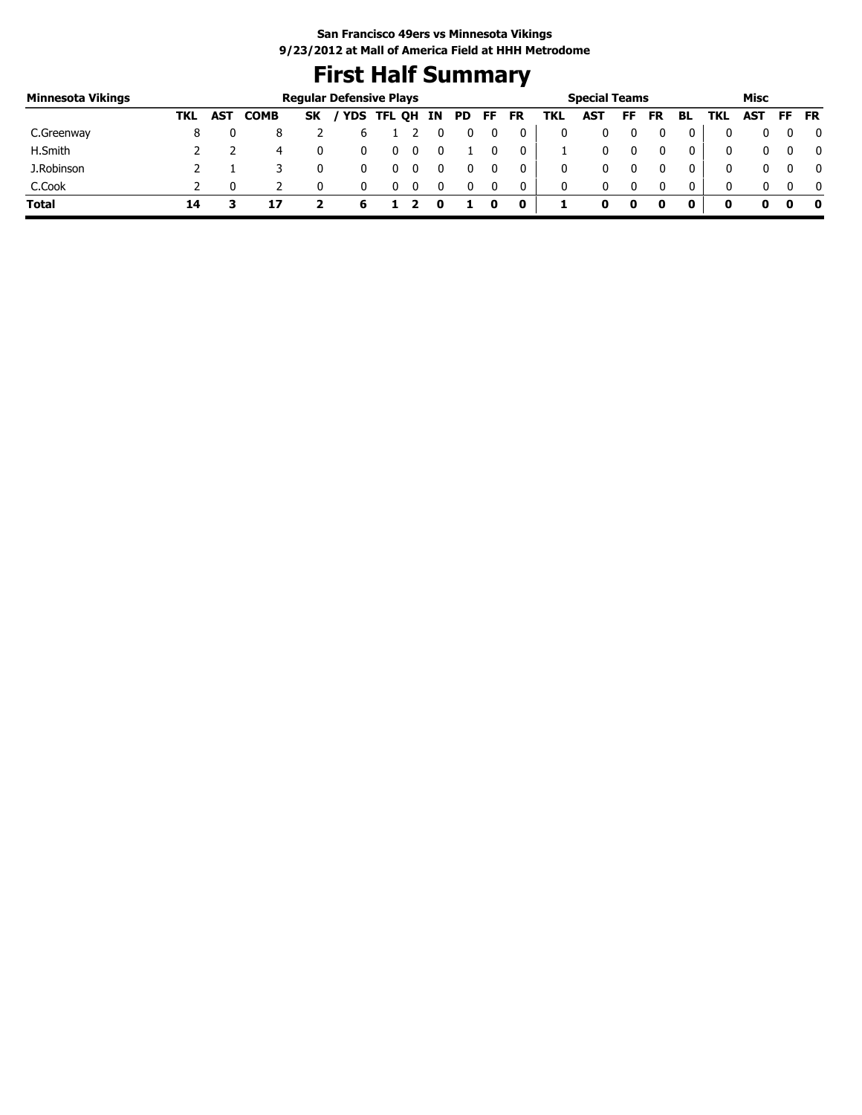# **First Half Summary**

| <b>Minnesota Vikings</b> |     |            |             |           | <b>Regular Defensive Plays</b> |   |  |    |    |           |     | <b>Special Teams</b> |     |           |              |     | Misc |     |              |
|--------------------------|-----|------------|-------------|-----------|--------------------------------|---|--|----|----|-----------|-----|----------------------|-----|-----------|--------------|-----|------|-----|--------------|
|                          | TKL | <b>AST</b> | <b>COMB</b> | <b>SK</b> | / YDS TFL QH IN                |   |  | PD | FF | <b>FR</b> | TKL | AST                  | FF. | <b>FR</b> | BL           | TKL | AST  | FF. | <b>FR</b>    |
| C.Greenway               |     |            |             |           |                                |   |  |    |    |           |     |                      |     |           |              |     |      |     | 0            |
| H.Smith                  |     |            | 4           |           |                                | 0 |  |    |    | 0         |     |                      |     |           |              | 0   |      |     | 0            |
| J.Robinson               |     |            |             |           |                                | U |  |    |    |           |     |                      |     |           |              | 0   |      |     | $\mathbf{0}$ |
| C.Cook                   |     |            |             |           |                                |   |  |    |    |           | 0   |                      |     |           | $\mathbf{0}$ | 0   |      |     | $\mathbf{0}$ |
| <b>Total</b>             | 14  |            |             |           |                                |   |  |    |    | 0         |     |                      | o   |           |              |     |      |     | - 0          |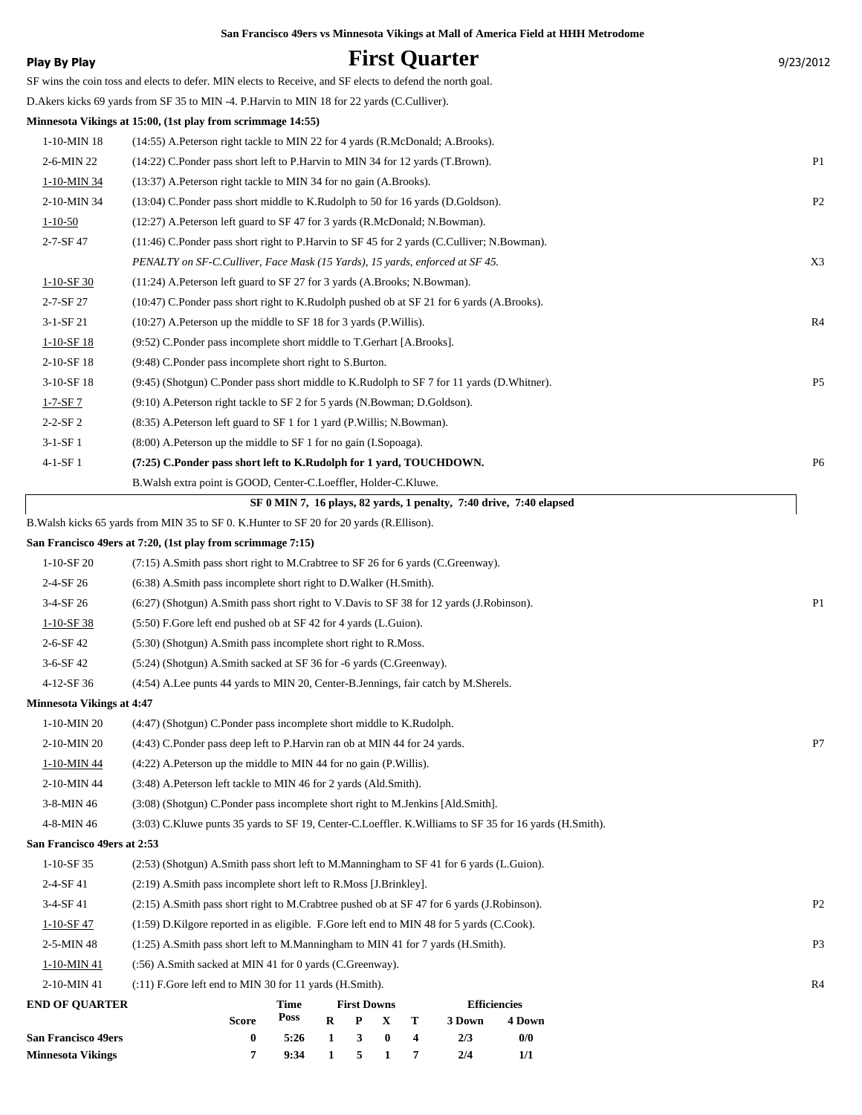| <b>Play By Play</b>                                    |                                                                                                           |              |             |                    |               |        | <b>First Quarter</b>                                                |                     |  | 9/23/2012      |
|--------------------------------------------------------|-----------------------------------------------------------------------------------------------------------|--------------|-------------|--------------------|---------------|--------|---------------------------------------------------------------------|---------------------|--|----------------|
|                                                        | SF wins the coin toss and elects to defer. MIN elects to Receive, and SF elects to defend the north goal. |              |             |                    |               |        |                                                                     |                     |  |                |
|                                                        | D. Akers kicks 69 yards from SF 35 to MIN -4. P. Harvin to MIN 18 for 22 yards (C. Culliver).             |              |             |                    |               |        |                                                                     |                     |  |                |
|                                                        | Minnesota Vikings at 15:00, (1st play from scrimmage 14:55)                                               |              |             |                    |               |        |                                                                     |                     |  |                |
| $1-10-MIN$ 18                                          | (14:55) A. Peterson right tackle to MIN 22 for 4 yards (R. McDonald; A. Brooks).                          |              |             |                    |               |        |                                                                     |                     |  |                |
| 2-6-MIN 22                                             | (14:22) C.Ponder pass short left to P.Harvin to MIN 34 for 12 yards (T.Brown).                            |              |             |                    |               |        |                                                                     |                     |  | P <sub>1</sub> |
| 1-10-MIN 34                                            | (13:37) A.Peterson right tackle to MIN 34 for no gain (A.Brooks).                                         |              |             |                    |               |        |                                                                     |                     |  |                |
| 2-10-MIN 34                                            | (13:04) C.Ponder pass short middle to K.Rudolph to 50 for 16 yards (D.Goldson).                           |              |             |                    |               |        |                                                                     |                     |  | P <sub>2</sub> |
| $1 - 10 - 50$                                          | $(12:27)$ A. Peterson left guard to SF 47 for 3 yards (R. McDonald; N. Bowman).                           |              |             |                    |               |        |                                                                     |                     |  |                |
| 2-7-SF 47                                              | (11:46) C.Ponder pass short right to P.Harvin to SF 45 for 2 yards (C.Culliver; N.Bowman).                |              |             |                    |               |        |                                                                     |                     |  |                |
|                                                        | PENALTY on SF-C.Culliver, Face Mask (15 Yards), 15 yards, enforced at SF 45.                              |              |             |                    |               |        |                                                                     |                     |  | X3             |
| $1-10-SF$ 30                                           | (11:24) A. Peterson left guard to SF 27 for 3 yards (A. Brooks; N. Bowman).                               |              |             |                    |               |        |                                                                     |                     |  |                |
| 2-7-SF 27                                              | (10:47) C.Ponder pass short right to K.Rudolph pushed ob at SF 21 for 6 yards (A.Brooks).                 |              |             |                    |               |        |                                                                     |                     |  |                |
| $3-1-SF21$                                             | $(10:27)$ A. Peterson up the middle to SF 18 for 3 yards (P. Willis).                                     |              |             |                    |               |        |                                                                     |                     |  | R <sub>4</sub> |
| $1-10-SF$ 18                                           | (9:52) C.Ponder pass incomplete short middle to T.Gerhart [A.Brooks].                                     |              |             |                    |               |        |                                                                     |                     |  |                |
| 2-10-SF 18                                             | (9:48) C.Ponder pass incomplete short right to S.Burton.                                                  |              |             |                    |               |        |                                                                     |                     |  |                |
| 3-10-SF 18                                             | (9.45) (Shotgun) C.Ponder pass short middle to K.Rudolph to SF 7 for 11 yards (D.Whitner).                |              |             |                    |               |        |                                                                     |                     |  | P <sub>5</sub> |
| $1 - 7 - SF7$                                          | (9:10) A.Peterson right tackle to SF 2 for 5 yards (N.Bowman; D.Goldson).                                 |              |             |                    |               |        |                                                                     |                     |  |                |
| $2 - 2 - SF2$                                          | (8:35) A. Peterson left guard to SF 1 for 1 yard (P. Willis; N. Bowman).                                  |              |             |                    |               |        |                                                                     |                     |  |                |
| $3-1-SF1$                                              | $(8:00)$ A. Peterson up the middle to SF 1 for no gain (I. Sopoaga).                                      |              |             |                    |               |        |                                                                     |                     |  |                |
| 4-1-SF 1                                               | (7:25) C.Ponder pass short left to K.Rudolph for 1 yard, TOUCHDOWN.                                       |              |             |                    |               |        |                                                                     |                     |  | P <sub>6</sub> |
|                                                        | B. Walsh extra point is GOOD, Center-C. Loeffler, Holder-C. Kluwe.                                        |              |             |                    |               |        |                                                                     |                     |  |                |
|                                                        |                                                                                                           |              |             |                    |               |        | SF 0 MIN 7, 16 plays, 82 yards, 1 penalty, 7:40 drive, 7:40 elapsed |                     |  |                |
|                                                        | B. Walsh kicks 65 yards from MIN 35 to SF 0. K. Hunter to SF 20 for 20 yards (R. Ellison).                |              |             |                    |               |        |                                                                     |                     |  |                |
|                                                        | San Francisco 49ers at 7:20, (1st play from scrimmage 7:15)                                               |              |             |                    |               |        |                                                                     |                     |  |                |
| $1-10-SF20$                                            | (7:15) A.Smith pass short right to M.Crabtree to SF 26 for 6 yards (C.Greenway).                          |              |             |                    |               |        |                                                                     |                     |  |                |
| 2-4-SF 26                                              | (6:38) A.Smith pass incomplete short right to D.Walker (H.Smith).                                         |              |             |                    |               |        |                                                                     |                     |  |                |
| $3-4-SF26$                                             | (6.27) (Shotgun) A.Smith pass short right to V.Davis to SF 38 for 12 yards (J.Robinson).                  |              |             |                    |               |        |                                                                     |                     |  | P <sub>1</sub> |
| $1-10-SF$ 38                                           | (5:50) F.Gore left end pushed ob at SF 42 for 4 yards (L.Guion).                                          |              |             |                    |               |        |                                                                     |                     |  |                |
| 2-6-SF 42                                              | (5:30) (Shotgun) A.Smith pass incomplete short right to R.Moss.                                           |              |             |                    |               |        |                                                                     |                     |  |                |
| $3-6-SF42$                                             | (5:24) (Shotgun) A.Smith sacked at SF 36 for -6 yards (C.Greenway).                                       |              |             |                    |               |        |                                                                     |                     |  |                |
| 4-12-SF 36                                             | (4:54) A.Lee punts 44 yards to MIN 20, Center-B.Jennings, fair catch by M.Sherels.                        |              |             |                    |               |        |                                                                     |                     |  |                |
| <b>Minnesota Vikings at 4:47</b>                       |                                                                                                           |              |             |                    |               |        |                                                                     |                     |  |                |
| 1-10-MIN 20                                            | (4:47) (Shotgun) C.Ponder pass incomplete short middle to K.Rudolph.                                      |              |             |                    |               |        |                                                                     |                     |  |                |
| 2-10-MIN 20                                            | (4:43) C.Ponder pass deep left to P.Harvin ran ob at MIN 44 for 24 yards.                                 |              |             |                    |               |        |                                                                     |                     |  | P7             |
| 1-10-MIN 44                                            | (4:22) A. Peterson up the middle to MIN 44 for no gain (P. Willis).                                       |              |             |                    |               |        |                                                                     |                     |  |                |
| 2-10-MIN 44                                            | (3:48) A.Peterson left tackle to MIN 46 for 2 yards (Ald.Smith).                                          |              |             |                    |               |        |                                                                     |                     |  |                |
| 3-8-MIN 46                                             | (3:08) (Shotgun) C.Ponder pass incomplete short right to M.Jenkins [Ald.Smith].                           |              |             |                    |               |        |                                                                     |                     |  |                |
| 4-8-MIN 46                                             | (3:03) C.Kluwe punts 35 yards to SF 19, Center-C.Loeffler. K.Williams to SF 35 for 16 yards (H.Smith).    |              |             |                    |               |        |                                                                     |                     |  |                |
| San Francisco 49ers at 2:53                            |                                                                                                           |              |             |                    |               |        |                                                                     |                     |  |                |
| 1-10-SF 35                                             | (2:53) (Shotgun) A.Smith pass short left to M.Manningham to SF 41 for 6 yards (L.Guion).                  |              |             |                    |               |        |                                                                     |                     |  |                |
| 2-4-SF 41                                              | (2:19) A.Smith pass incomplete short left to R.Moss [J.Brinkley].                                         |              |             |                    |               |        |                                                                     |                     |  |                |
| 3-4-SF 41                                              | $(2.15)$ A.Smith pass short right to M.Crabtree pushed ob at SF 47 for 6 yards (J.Robinson).              |              |             |                    |               |        |                                                                     |                     |  | P <sub>2</sub> |
| $1-10-SF$ 47                                           | $(1:59)$ D. Kilgore reported in as eligible. F. Gore left end to MIN 48 for 5 yards (C. Cook).            |              |             |                    |               |        |                                                                     |                     |  |                |
| 2-5-MIN 48                                             | (1:25) A.Smith pass short left to M.Manningham to MIN 41 for 7 yards (H.Smith).                           |              |             |                    |               |        |                                                                     |                     |  | P <sub>3</sub> |
| 1-10-MIN 41                                            | (:56) A.Smith sacked at MIN 41 for 0 yards (C.Greenway).                                                  |              |             |                    |               |        |                                                                     |                     |  |                |
| 2-10-MIN 41                                            | (:11) F.Gore left end to MIN 30 for 11 yards (H.Smith).                                                   |              |             |                    |               |        |                                                                     |                     |  | R <sub>4</sub> |
| <b>END OF QUARTER</b>                                  |                                                                                                           | Time         |             | <b>First Downs</b> |               |        |                                                                     | <b>Efficiencies</b> |  |                |
|                                                        | <b>Score</b>                                                                                              | Poss         | $\mathbf R$ | P                  | $\mathbf X$   | T      | 3 Down                                                              | 4 Down              |  |                |
| <b>San Francisco 49ers</b><br><b>Minnesota Vikings</b> | $\bf{0}$<br>7                                                                                             | 5:26<br>9:34 | 1<br>1      | 3<br>5             | $\bf{0}$<br>1 | 4<br>7 | 2/3<br>2/4                                                          | 0/0<br>1/1          |  |                |
|                                                        |                                                                                                           |              |             |                    |               |        |                                                                     |                     |  |                |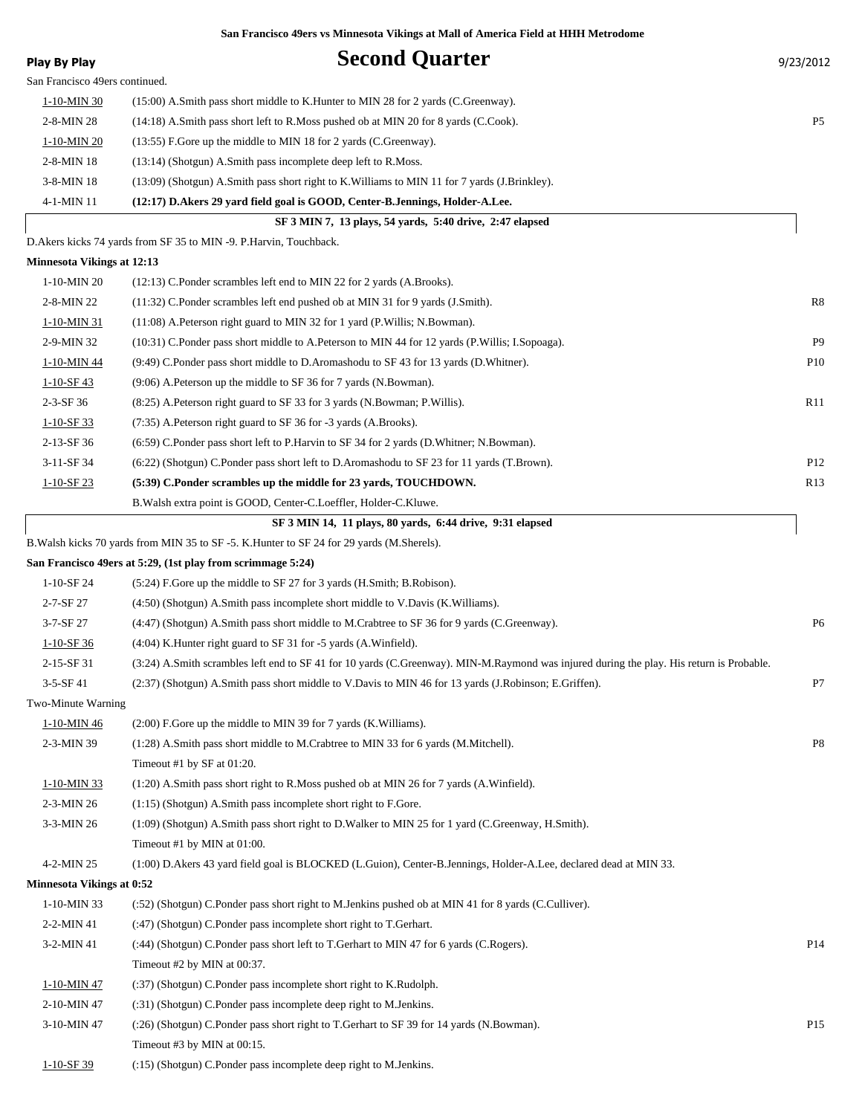| <b>Play By Play</b>               | <b>Second Quarter</b>                                                                                                                    | 9/23/2012       |
|-----------------------------------|------------------------------------------------------------------------------------------------------------------------------------------|-----------------|
| San Francisco 49ers continued.    |                                                                                                                                          |                 |
| 1-10-MIN 30                       | (15:00) A.Smith pass short middle to K.Hunter to MIN 28 for 2 yards (C.Greenway).                                                        |                 |
| 2-8-MIN 28                        | (14:18) A.Smith pass short left to R.Moss pushed ob at MIN 20 for 8 yards (C.Cook).                                                      | P <sub>5</sub>  |
| 1-10-MIN 20                       | (13:55) F.Gore up the middle to MIN 18 for 2 yards (C.Greenway).                                                                         |                 |
| 2-8-MIN 18                        | (13:14) (Shotgun) A.Smith pass incomplete deep left to R.Moss.                                                                           |                 |
| 3-8-MIN 18                        | (13:09) (Shotgun) A.Smith pass short right to K. Williams to MIN 11 for 7 yards (J. Brinkley).                                           |                 |
| 4-1-MIN 11                        | (12:17) D.Akers 29 yard field goal is GOOD, Center-B.Jennings, Holder-A.Lee.                                                             |                 |
|                                   | SF 3 MIN 7, 13 plays, 54 yards, 5:40 drive, 2:47 elapsed                                                                                 |                 |
|                                   | D.Akers kicks 74 yards from SF 35 to MIN -9. P.Harvin, Touchback.                                                                        |                 |
| <b>Minnesota Vikings at 12:13</b> |                                                                                                                                          |                 |
| 1-10-MIN 20                       | $(12:13)$ C.Ponder scrambles left end to MIN 22 for 2 yards $(A.Brooks)$ .                                                               |                 |
| 2-8-MIN 22                        | (11:32) C.Ponder scrambles left end pushed ob at MIN 31 for 9 yards (J.Smith).                                                           | R8              |
| 1-10-MIN 31                       | $(11:08)$ A. Peterson right guard to MIN 32 for 1 yard (P. Willis; N. Bowman).                                                           |                 |
| 2-9-MIN 32                        | (10:31) C.Ponder pass short middle to A.Peterson to MIN 44 for 12 yards (P.Willis; I.Sopoaga).                                           | P <sub>9</sub>  |
| 1-10-MIN 44                       | (9:49) C.Ponder pass short middle to D.Aromashodu to SF 43 for 13 yards (D.Whitner).                                                     | P <sub>10</sub> |
| $1 - 10 - SF$ 43                  | (9:06) A. Peterson up the middle to SF 36 for 7 yards (N. Bowman).                                                                       |                 |
| $2-3-SF$ 36                       | (8:25) A. Peterson right guard to SF 33 for 3 yards (N. Bowman; P. Willis).                                                              | R11             |
| $1-10-SF$ 33                      | (7:35) A. Peterson right guard to SF 36 for -3 yards (A. Brooks).                                                                        |                 |
| 2-13-SF 36                        | (6:59) C.Ponder pass short left to P.Harvin to SF 34 for 2 yards (D.Whitner; N.Bowman).                                                  |                 |
| 3-11-SF 34                        | (6:22) (Shotgun) C.Ponder pass short left to D.Aromashodu to SF 23 for 11 yards (T.Brown).                                               | P <sub>12</sub> |
| $1 - 10 - SF$ 23                  | (5:39) C.Ponder scrambles up the middle for 23 yards, TOUCHDOWN.                                                                         | R13             |
|                                   | B. Walsh extra point is GOOD, Center-C. Loeffler, Holder-C. Kluwe.                                                                       |                 |
|                                   | SF 3 MIN 14, 11 plays, 80 yards, 6:44 drive, 9:31 elapsed                                                                                |                 |
|                                   | B. Walsh kicks 70 yards from MIN 35 to SF -5. K. Hunter to SF 24 for 29 yards (M. Sherels).                                              |                 |
|                                   | San Francisco 49ers at 5:29, (1st play from scrimmage 5:24)                                                                              |                 |
| 1-10-SF 24                        | (5:24) F.Gore up the middle to SF 27 for 3 yards (H.Smith; B.Robison).                                                                   |                 |
| 2-7-SF 27                         | (4:50) (Shotgun) A.Smith pass incomplete short middle to V.Davis (K.Williams).                                                           |                 |
| 3-7-SF 27                         | (4:47) (Shotgun) A.Smith pass short middle to M.Crabtree to SF 36 for 9 yards (C.Greenway).                                              | P <sub>6</sub>  |
| $1-10-SF$ 36                      | (4:04) K. Hunter right guard to SF 31 for -5 yards (A. Winfield).                                                                        |                 |
| 2-15-SF 31                        | (3:24) A.Smith scrambles left end to SF 41 for 10 yards (C.Greenway). MIN-M.Raymond was injured during the play. His return is Probable. |                 |
| 3-5-SF 41                         | (2:37) (Shotgun) A.Smith pass short middle to V.Davis to MIN 46 for 13 yards (J.Robinson; E.Griffen).                                    | P7              |
| Two-Minute Warning                |                                                                                                                                          |                 |
| 1-10-MIN 46                       | $(2:00)$ F.Gore up the middle to MIN 39 for 7 yards (K.Williams).                                                                        |                 |
| 2-3-MIN 39                        | (1:28) A.Smith pass short middle to M.Crabtree to MIN 33 for 6 yards (M.Mitchell).                                                       | P <sub>8</sub>  |
|                                   | Timeout #1 by SF at 01:20.                                                                                                               |                 |
| $1 - 10 - MIN 33$                 | (1:20) A.Smith pass short right to R.Moss pushed ob at MIN 26 for 7 yards (A.Winfield).                                                  |                 |
| 2-3-MIN 26                        | (1:15) (Shotgun) A.Smith pass incomplete short right to F.Gore.                                                                          |                 |
| 3-3-MIN 26                        | (1:09) (Shotgun) A.Smith pass short right to D.Walker to MIN 25 for 1 yard (C.Greenway, H.Smith).                                        |                 |
|                                   | Timeout #1 by MIN at 01:00.                                                                                                              |                 |
| 4-2-MIN 25                        | (1:00) D.Akers 43 yard field goal is BLOCKED (L.Guion), Center-B.Jennings, Holder-A.Lee, declared dead at MIN 33.                        |                 |
| <b>Minnesota Vikings at 0:52</b>  |                                                                                                                                          |                 |
| 1-10-MIN 33                       | (52) (Shotgun) C.Ponder pass short right to M.Jenkins pushed ob at MIN 41 for 8 yards (C.Culliver).                                      |                 |
| 2-2-MIN 41                        | (:47) (Shotgun) C.Ponder pass incomplete short right to T.Gerhart.                                                                       |                 |
| 3-2-MIN 41                        | (:44) (Shotgun) C.Ponder pass short left to T.Gerhart to MIN 47 for 6 yards (C.Rogers).                                                  | P <sub>14</sub> |
|                                   | Timeout #2 by MIN at 00:37.                                                                                                              |                 |
| 1-10-MIN 47                       | (:37) (Shotgun) C.Ponder pass incomplete short right to K.Rudolph.                                                                       |                 |
| 2-10-MIN 47                       | (:31) (Shotgun) C.Ponder pass incomplete deep right to M.Jenkins.                                                                        |                 |
| 3-10-MIN 47                       | (26) (Shotgun) C.Ponder pass short right to T.Gerhart to SF 39 for 14 yards (N.Bowman).                                                  | P <sub>15</sub> |
|                                   | Timeout #3 by MIN at 00:15.                                                                                                              |                 |
| $1 - 10 - SF39$                   | (:15) (Shotgun) C.Ponder pass incomplete deep right to M.Jenkins.                                                                        |                 |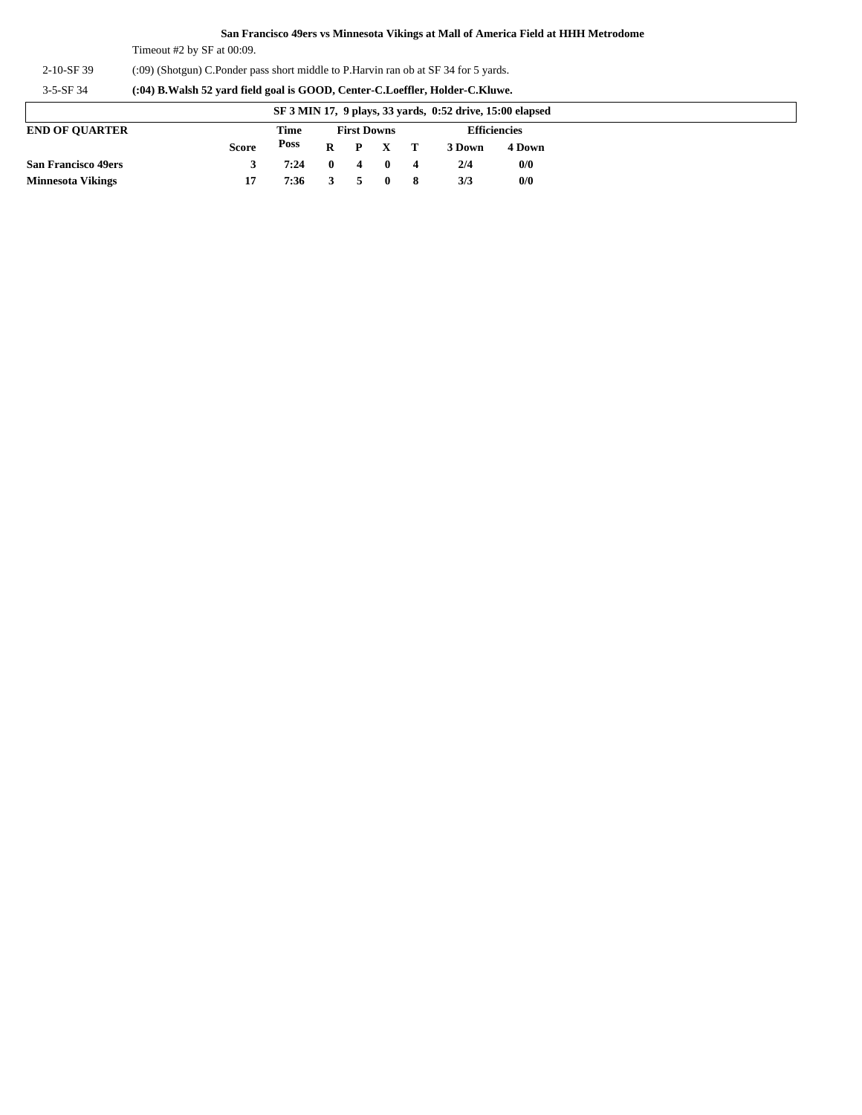Timeout #2 by SF at 00:09.

2-10-SF 39 (:09) (Shotgun) C.Ponder pass short middle to P.Harvin ran ob at SF 34 for 5 yards.

3-5-SF 34 **(:04) B.Walsh 52 yard field goal is GOOD, Center-C.Loeffler, Holder-C.Kluwe.**

| SF 3 MIN 17, 9 plays, 33 yards, 0:52 drive, 15:00 elapsed |              |      |              |                    |              |    |                     |        |
|-----------------------------------------------------------|--------------|------|--------------|--------------------|--------------|----|---------------------|--------|
| <b>END OF OUARTER</b>                                     |              | Time |              | <b>First Downs</b> |              |    | <b>Efficiencies</b> |        |
|                                                           | <b>Score</b> | Poss | $\bf{R}$     | $\mathbf{P}$       | $X$ T        |    | 3 Down              | 4 Down |
| <b>San Francisco 49ers</b>                                |              | 7:24 | $\mathbf{0}$ | $\overline{4}$     | - 0          | 4  | 2/4                 | 0/0    |
| <b>Minnesota Vikings</b>                                  |              | 7:36 |              |                    | $\mathbf{0}$ | -8 | 3/3                 | 0/0    |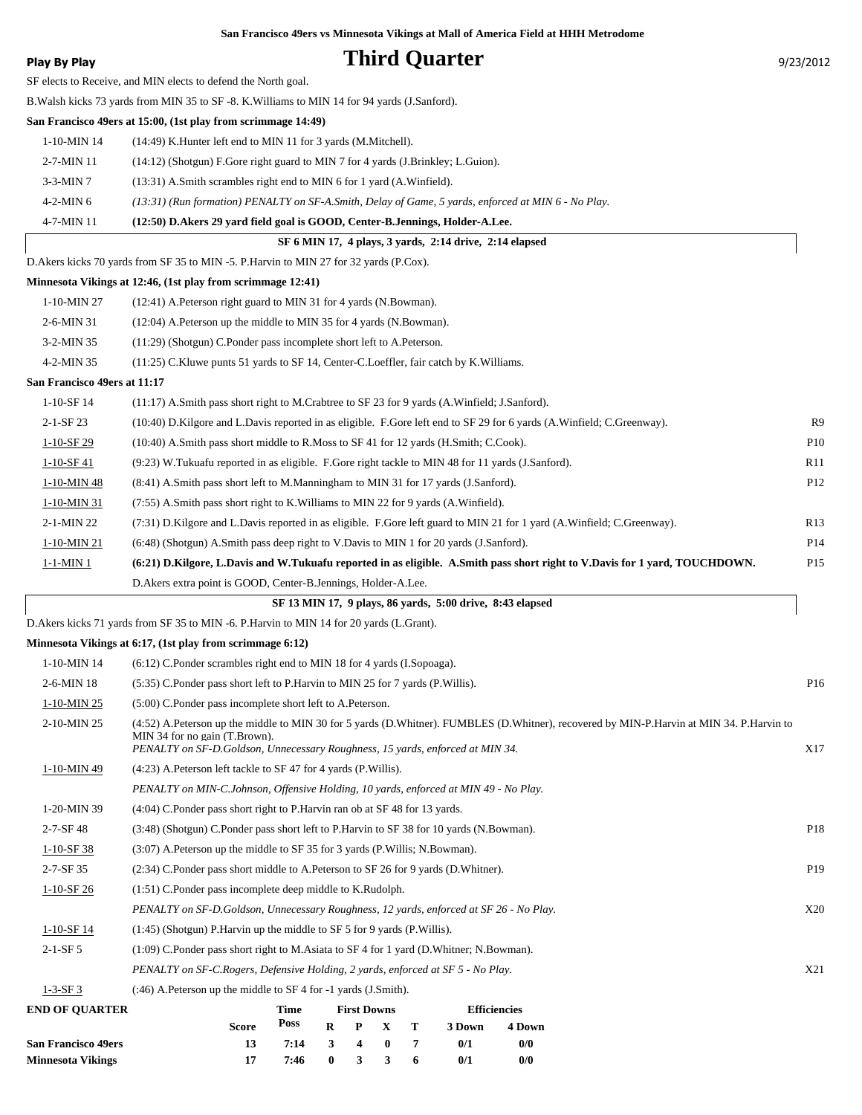### **Play By Play Play Play Play Play By Play Play By Play Play By Play Play Play Play Play Play Play Play Play Play Play Play Play Play Play Play Play Play Play Play Play**

SF elects to Receive, and MIN elects to defend the North goal.

B.Walsh kicks 73 yards from MIN 35 to SF -8. K.Williams to MIN 14 for 94 yards (J.Sanford).

#### **San Francisco 49ers at 15:00, (1st play from scrimmage 14:49)**

1-10-MIN 14 (14:49) K.Hunter left end to MIN 11 for 3 yards (M.Mitchell).

2-7-MIN 11 (14:12) (Shotgun) F.Gore right guard to MIN 7 for 4 yards (J.Brinkley; L.Guion).

3-3-MIN 7 (13:31) A.Smith scrambles right end to MIN 6 for 1 yard (A.Winfield).

4-2-MIN 6 *(13:31) (Run formation) PENALTY on SF-A.Smith, Delay of Game, 5 yards, enforced at MIN 6 - No Play.*

4-7-MIN 11 **(12:50) D.Akers 29 yard field goal is GOOD, Center-B.Jennings, Holder-A.Lee.**

| SF 6 MIN 17, 4 plays, 3 yards, 2:14 drive, 2:14 elapsed |  |
|---------------------------------------------------------|--|
|---------------------------------------------------------|--|

D.Akers kicks 70 yards from SF 35 to MIN -5. P.Harvin to MIN 27 for 32 yards (P.Cox).

#### **Minnesota Vikings at 12:46, (1st play from scrimmage 12:41)**

| 1-10-MIN 27                  | (12:41) A. Peterson right guard to MIN 31 for 4 yards (N. Bowman).                                |
|------------------------------|---------------------------------------------------------------------------------------------------|
| $2-6$ -MIN 31                | (12:04) A. Peterson up the middle to MIN 35 for 4 yards (N. Bowman).                              |
| $3-2-MIN$ 35                 | $(11:29)$ (Shotgun) C. Ponder pass incomplete short left to A. Peterson.                          |
| $4 - 2 - MIN 35$             | $(11:25)$ C.K luwe punts 51 yards to SF 14, Center-C. Loeffler, fair catch by K.Williams.         |
| San Francisco 49ers at 11:17 |                                                                                                   |
| 1-10-SF 14                   | $(11:17)$ A.Smith pass short right to M.Crabtree to SF 23 for 9 yards $(A.Winfield; J.Sanford)$ . |

| $2-1-SF23$    | (10:40) D. Kilgore and L. Davis reported in as eligible. F. Gore left end to SF 29 for 6 yards (A. Winfield: C. Greenway).  | R <sub>9</sub>  |
|---------------|-----------------------------------------------------------------------------------------------------------------------------|-----------------|
| $1-10-SF29$   | (10:40) A.Smith pass short middle to R.Moss to SF 41 for 12 yards (H.Smith; C.Cook).                                        | P10             |
| $1-10-SF41$   | (9:23) W. Tukuafu reported in as eligible. F. Gore right tackle to MIN 48 for 11 yards (J. Sanford).                        | R11             |
| 1-10-MIN 48   | (8.41) A.Smith pass short left to M.Manningham to MIN 31 for 17 yards (J.Sanford).                                          | P12             |
| 1-10-MIN 31   | $(7:55)$ A.Smith pass short right to K.Williams to MIN 22 for 9 yards (A.Winfield).                                         |                 |
| $2-1-MIN$ 22  | (7:31) D.Kilgore and L.Davis reported in as eligible. F.Gore left guard to MIN 21 for 1 yard (A.Winfield; C.Greenway).      | R13             |
| 1-10-MIN 21   | (6:48) (Shotgun) A.Smith pass deep right to V.Davis to MIN 1 for 20 yards (J.Sanford).                                      | P14             |
| $1-1-MIN$ $1$ | (6:21) D.Kilgore, L.Davis and W.Tukuafu reported in as eligible. A.Smith pass short right to V.Davis for 1 yard, TOUCHDOWN. | P <sub>15</sub> |
|               | D. Akers extra point is GOOD, Center-B. Jennings, Holder-A. Lee.                                                            |                 |

|  | SF 13 MIN 17, 9 plays, 86 yards, 5:00 drive, 8:43 elapsed |  |  |
|--|-----------------------------------------------------------|--|--|
|--|-----------------------------------------------------------|--|--|

D.Akers kicks 71 yards from SF 35 to MIN -6. P.Harvin to MIN 14 for 20 yards (L.Grant).

### **Minnesota Vikings at 6:17, (1st play from scrimmage 6:12)**

| 1-10-MIN 14     | $(6:12)$ C.Ponder scrambles right end to MIN 18 for 4 yards (I.Sopoaga).                                                                                                                                                                                   |                 |
|-----------------|------------------------------------------------------------------------------------------------------------------------------------------------------------------------------------------------------------------------------------------------------------|-----------------|
| $2-6$ -MIN 18   | (5:35) C.Ponder pass short left to P.Harvin to MIN 25 for 7 yards (P.Willis).                                                                                                                                                                              | P <sub>16</sub> |
| 1-10-MIN 25     | (5:00) C.Ponder pass incomplete short left to A.Peterson.                                                                                                                                                                                                  |                 |
| 2-10-MIN 25     | (4:52) A.Peterson up the middle to MIN 30 for 5 yards (D.Whitner). FUMBLES (D.Whitner), recovered by MIN-P.Harvin at MIN 34. P.Harvin to<br>MIN 34 for no gain (T.Brown).<br>PENALTY on SF-D.Goldson, Unnecessary Roughness, 15 yards, enforced at MIN 34. | X17             |
| 1-10-MIN 49     | (4:23) A. Peterson left tackle to SF 47 for 4 yards (P. Willis).                                                                                                                                                                                           |                 |
|                 | PENALTY on MIN-C.Johnson, Offensive Holding, 10 yards, enforced at MIN 49 - No Play.                                                                                                                                                                       |                 |
| 1-20-MIN 39     | (4:04) C.Ponder pass short right to P.Harvin ran ob at SF 48 for 13 yards.                                                                                                                                                                                 |                 |
| $2 - 7 - SF$ 48 | (3:48) (Shotgun) C.Ponder pass short left to P.Harvin to SF 38 for 10 yards (N.Bowman).                                                                                                                                                                    | P18             |
| $1-10-SF38$     | (3:07) A. Peterson up the middle to SF 35 for 3 yards (P. Willis; N. Bowman).                                                                                                                                                                              |                 |
| $2 - 7 - SF$ 35 | (2:34) C.Ponder pass short middle to A.Peterson to SF 26 for 9 yards (D.Whitner).                                                                                                                                                                          | P <sub>19</sub> |
| $1-10-SF26$     | (1:51) C.Ponder pass incomplete deep middle to K.Rudolph.                                                                                                                                                                                                  |                 |
|                 | PENALTY on SF-D.Goldson, Unnecessary Roughness, 12 yards, enforced at SF 26 - No Play.                                                                                                                                                                     | X20             |
| 1-10-SF 14      | $(1:45)$ (Shotgun) P. Harvin up the middle to SF 5 for 9 yards (P. Willis).                                                                                                                                                                                |                 |
| $2 - 1 - SF 5$  | $(1:09)$ C.Ponder pass short right to M.Asiata to SF 4 for 1 yard (D.Whitner; N.Bowman).                                                                                                                                                                   |                 |
|                 | PENALTY on SF-C.Rogers, Defensive Holding, 2 yards, enforced at SF 5 - No Play.                                                                                                                                                                            | X21             |
| $1-3-SF3$       | (:46) A. Peterson up the middle to SF 4 for -1 yards (J. Smith).                                                                                                                                                                                           |                 |
|                 |                                                                                                                                                                                                                                                            |                 |

| <b>END OF OUARTER</b>      |              | Time       |                                             | <b>First Downs</b> |                 |    | <b>Efficiencies</b> |        |  |
|----------------------------|--------------|------------|---------------------------------------------|--------------------|-----------------|----|---------------------|--------|--|
|                            | <b>Score</b> | Poss       |                                             |                    | $R$ $P$ $X$ $T$ |    | 3 Down              | 4 Down |  |
| <b>San Francisco 49ers</b> |              | 7:14 3 4 0 |                                             |                    |                 |    | 0/1                 | 0/0    |  |
| <b>Minnesota Vikings</b>   |              | 7:46       | $\begin{array}{cccc} 0 & 3 & 3 \end{array}$ |                    |                 | -6 | 0/1                 | 0/0    |  |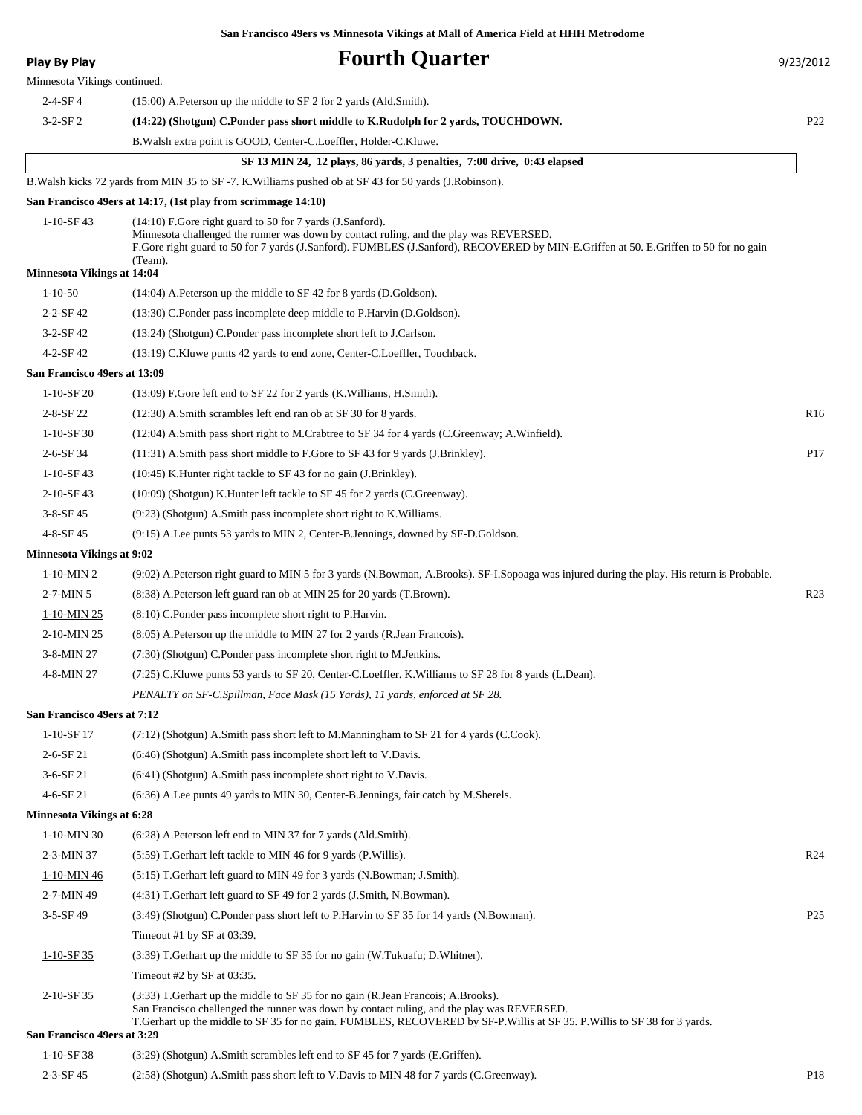| <b>Play By Play</b>               | <b>Fourth Quarter</b>                                                                                                                                                                                                                                                                                  | 9/23/2012       |
|-----------------------------------|--------------------------------------------------------------------------------------------------------------------------------------------------------------------------------------------------------------------------------------------------------------------------------------------------------|-----------------|
| Minnesota Vikings continued.      |                                                                                                                                                                                                                                                                                                        |                 |
| $2-4-SF4$                         | $(15:00)$ A. Peterson up the middle to SF 2 for 2 yards (Ald. Smith).                                                                                                                                                                                                                                  |                 |
| $3-2-SF2$                         | (14:22) (Shotgun) C.Ponder pass short middle to K.Rudolph for 2 yards, TOUCHDOWN.                                                                                                                                                                                                                      | P <sub>22</sub> |
|                                   | B. Walsh extra point is GOOD, Center-C. Loeffler, Holder-C. Kluwe.                                                                                                                                                                                                                                     |                 |
|                                   | SF 13 MIN 24, 12 plays, 86 yards, 3 penalties, 7:00 drive, 0:43 elapsed                                                                                                                                                                                                                                |                 |
|                                   | B. Walsh kicks 72 yards from MIN 35 to SF-7. K. Williams pushed ob at SF43 for 50 yards (J. Robinson).                                                                                                                                                                                                 |                 |
|                                   | San Francisco 49ers at 14:17, (1st play from scrimmage 14:10)                                                                                                                                                                                                                                          |                 |
| $1-10-SF$ 43                      | (14:10) F.Gore right guard to 50 for 7 yards (J.Sanford).<br>Minnesota challenged the runner was down by contact ruling, and the play was REVERSED.<br>F.Gore right guard to 50 for 7 yards (J.Sanford). FUMBLES (J.Sanford), RECOVERED by MIN-E.Griffen at 50. E.Griffen to 50 for no gain<br>(Team). |                 |
| <b>Minnesota Vikings at 14:04</b> |                                                                                                                                                                                                                                                                                                        |                 |
| $1 - 10 - 50$                     | $(14:04)$ A. Peterson up the middle to SF 42 for 8 yards (D. Goldson).                                                                                                                                                                                                                                 |                 |
| $2 - 2 - SF 42$                   | (13:30) C.Ponder pass incomplete deep middle to P.Harvin (D.Goldson).                                                                                                                                                                                                                                  |                 |
| $3-2-SF42$                        | (13:24) (Shotgun) C.Ponder pass incomplete short left to J.Carlson.                                                                                                                                                                                                                                    |                 |
| $4 - 2 - SF 42$                   | (13:19) C.Kluwe punts 42 yards to end zone, Center-C.Loeffler, Touchback.                                                                                                                                                                                                                              |                 |
| San Francisco 49ers at 13:09      |                                                                                                                                                                                                                                                                                                        |                 |
| $1-10-SF20$                       | (13:09) F.Gore left end to SF 22 for 2 yards (K. Williams, H. Smith).                                                                                                                                                                                                                                  |                 |
| $2 - 8 - SF$ 22                   | (12:30) A.Smith scrambles left end ran ob at SF 30 for 8 yards.                                                                                                                                                                                                                                        | R <sub>16</sub> |
| $1-10-SF30$                       | (12:04) A.Smith pass short right to M.Crabtree to SF 34 for 4 yards (C.Greenway; A.Winfield).                                                                                                                                                                                                          |                 |
| 2-6-SF 34                         | $(11:31)$ A.Smith pass short middle to F.Gore to SF 43 for 9 yards (J.Brinkley).                                                                                                                                                                                                                       | P <sub>17</sub> |
| $1 - 10 - SF - 43$                | (10:45) K. Hunter right tackle to SF 43 for no gain (J. Brinkley).                                                                                                                                                                                                                                     |                 |
| 2-10-SF43                         | (10:09) (Shotgun) K.Hunter left tackle to SF 45 for 2 yards (C.Greenway).                                                                                                                                                                                                                              |                 |
| $3-8-SF$ 45                       | (9:23) (Shotgun) A.Smith pass incomplete short right to K. Williams.                                                                                                                                                                                                                                   |                 |
| 4-8-SF 45                         | (9:15) A.Lee punts 53 yards to MIN 2, Center-B.Jennings, downed by SF-D.Goldson.                                                                                                                                                                                                                       |                 |
| <b>Minnesota Vikings at 9:02</b>  |                                                                                                                                                                                                                                                                                                        |                 |
| $1-10-MIN2$                       | (9:02) A.Peterson right guard to MIN 5 for 3 yards (N.Bowman, A.Brooks). SF-I.Sopoaga was injured during the play. His return is Probable.                                                                                                                                                             |                 |
| $2-7-MIN5$                        | (8:38) A. Peterson left guard ran ob at MIN 25 for 20 yards (T. Brown).                                                                                                                                                                                                                                | R <sub>23</sub> |
| 1-10-MIN 25                       | $(8:10)$ C.Ponder pass incomplete short right to P.Harvin.                                                                                                                                                                                                                                             |                 |
| $2-10-MIN$ 25                     | (8:05) A. Peterson up the middle to MIN 27 for 2 yards (R. Jean Francois).                                                                                                                                                                                                                             |                 |
| 3-8-MIN 27                        | (7:30) (Shotgun) C.Ponder pass incomplete short right to M.Jenkins.                                                                                                                                                                                                                                    |                 |
| 4-8-MIN 27                        | (7:25) C.Kluwe punts 53 yards to SF 20, Center-C.Loeffler. K.Williams to SF 28 for 8 yards (L.Dean).                                                                                                                                                                                                   |                 |
|                                   | PENALTY on SF-C.Spillman, Face Mask (15 Yards), 11 yards, enforced at SF 28.                                                                                                                                                                                                                           |                 |
| San Francisco 49ers at 7:12       |                                                                                                                                                                                                                                                                                                        |                 |
| 1-10-SF 17                        | $(7.12)$ (Shotgun) A.Smith pass short left to M.Manningham to SF 21 for 4 yards (C.Cook).                                                                                                                                                                                                              |                 |
| $2 - 6 - SF 21$                   | $(6:46)$ (Shotgun) A.Smith pass incomplete short left to V.Davis.                                                                                                                                                                                                                                      |                 |
| $3-6-SF$ 21                       | (6:41) (Shotgun) A.Smith pass incomplete short right to V.Davis.                                                                                                                                                                                                                                       |                 |
| $4 - 6 - SF 21$                   | (6:36) A.Lee punts 49 yards to MIN 30, Center-B.Jennings, fair catch by M.Sherels.                                                                                                                                                                                                                     |                 |
| <b>Minnesota Vikings at 6:28</b>  |                                                                                                                                                                                                                                                                                                        |                 |
| 1-10-MIN 30                       | (6:28) A. Peterson left end to MIN 37 for 7 yards (Ald. Smith).                                                                                                                                                                                                                                        |                 |
| 2-3-MIN 37                        | (5:59) T. Gerhart left tackle to MIN 46 for 9 yards (P. Willis).                                                                                                                                                                                                                                       | R <sub>24</sub> |
| 1-10-MIN 46                       | (5:15) T. Gerhart left guard to MIN 49 for 3 yards (N. Bowman; J. Smith).                                                                                                                                                                                                                              |                 |
| 2-7-MIN 49                        | (4:31) T. Gerhart left guard to SF 49 for 2 yards (J. Smith, N. Bowman).                                                                                                                                                                                                                               |                 |
| $3-5-SF49$                        | (3:49) (Shotgun) C.Ponder pass short left to P.Harvin to SF 35 for 14 yards (N.Bowman).                                                                                                                                                                                                                | P <sub>25</sub> |
|                                   | Timeout #1 by SF at 03:39.                                                                                                                                                                                                                                                                             |                 |
| $1-10-SF35$                       | $(3.39)$ T. Gerhart up the middle to SF 35 for no gain (W. Tukuafu; D. Whitner).                                                                                                                                                                                                                       |                 |
|                                   | Timeout #2 by SF at 03:35.                                                                                                                                                                                                                                                                             |                 |
| 2-10-SF 35                        | (3:33) T. Gerhart up the middle to SF 35 for no gain (R. Jean Francois; A. Brooks).                                                                                                                                                                                                                    |                 |
| San Francisco 49ers at 3:29       | San Francisco challenged the runner was down by contact ruling, and the play was REVERSED.<br>T. Gerhart up the middle to SF 35 for no gain. FUMBLES, RECOVERED by SF-P. Willis at SF 35. P. Willis to SF 38 for 3 yards.                                                                              |                 |
| $1-10-SF$ 38                      | (3:29) (Shotgun) A.Smith scrambles left end to SF 45 for 7 yards (E.Griffen).                                                                                                                                                                                                                          |                 |
| 2-3-SF 45                         | (2:58) (Shotgun) A.Smith pass short left to V.Davis to MIN 48 for 7 yards (C.Greenway).                                                                                                                                                                                                                | P <sub>18</sub> |
|                                   |                                                                                                                                                                                                                                                                                                        |                 |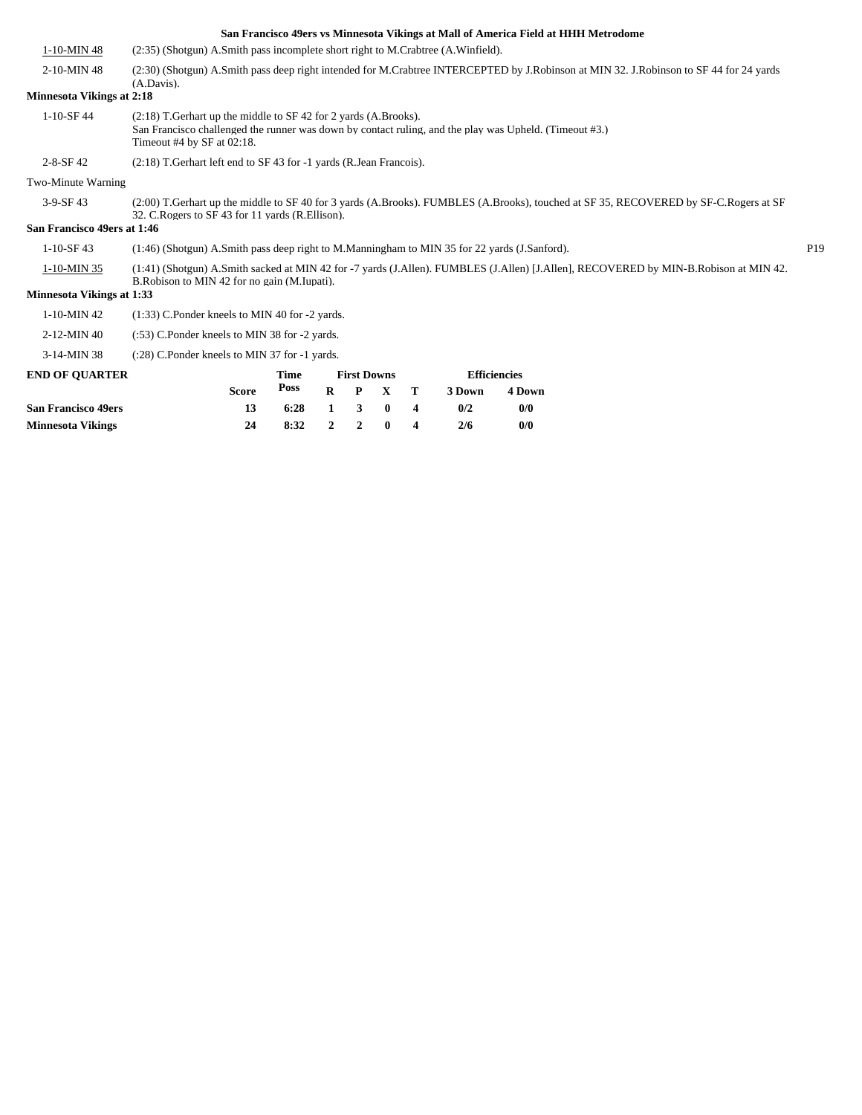|                                  |                                                                                                                                                                                           |                                                                                                                                                                               |                |                    |             |                         |        |                     | San Francisco 49ers vs Minnesota Vikings at Mall of America Field at HHH Metrodome                                                   |                 |
|----------------------------------|-------------------------------------------------------------------------------------------------------------------------------------------------------------------------------------------|-------------------------------------------------------------------------------------------------------------------------------------------------------------------------------|----------------|--------------------|-------------|-------------------------|--------|---------------------|--------------------------------------------------------------------------------------------------------------------------------------|-----------------|
| 1-10-MIN 48                      | (2.35) (Shotgun) A.Smith pass incomplete short right to M.Crabtree (A.Winfield).                                                                                                          |                                                                                                                                                                               |                |                    |             |                         |        |                     |                                                                                                                                      |                 |
| 2-10-MIN 48                      | (2:30) (Shotgun) A.Smith pass deep right intended for M.Crabtree INTERCEPTED by J.Robinson at MIN 32. J.Robinson to SF 44 for 24 yards<br>$(A.Davis)$ .                                   |                                                                                                                                                                               |                |                    |             |                         |        |                     |                                                                                                                                      |                 |
| <b>Minnesota Vikings at 2:18</b> |                                                                                                                                                                                           |                                                                                                                                                                               |                |                    |             |                         |        |                     |                                                                                                                                      |                 |
| $1 - 10 - SF$ 44                 | Timeout #4 by SF at 02:18.                                                                                                                                                                | $(2:18)$ T. Gerhart up the middle to SF 42 for 2 yards (A. Brooks).<br>San Francisco challenged the runner was down by contact ruling, and the play was Upheld. (Timeout #3.) |                |                    |             |                         |        |                     |                                                                                                                                      |                 |
| $2 - 8 - SF$ 42                  | (2:18) T. Gerhart left end to SF 43 for -1 yards (R. Jean Francois).                                                                                                                      |                                                                                                                                                                               |                |                    |             |                         |        |                     |                                                                                                                                      |                 |
| Two-Minute Warning               |                                                                                                                                                                                           |                                                                                                                                                                               |                |                    |             |                         |        |                     |                                                                                                                                      |                 |
| $3-9-SF43$                       | (2:00) T.Gerhart up the middle to SF 40 for 3 yards (A.Brooks). FUMBLES (A.Brooks), touched at SF 35, RECOVERED by SF-C.Rogers at SF<br>32. C. Rogers to SF 43 for 11 vards (R. Ellison). |                                                                                                                                                                               |                |                    |             |                         |        |                     |                                                                                                                                      |                 |
| San Francisco 49ers at 1:46      |                                                                                                                                                                                           |                                                                                                                                                                               |                |                    |             |                         |        |                     |                                                                                                                                      |                 |
| $1-10-SF$ 43                     | (1:46) (Shotgun) A.Smith pass deep right to M.Manningham to MIN 35 for 22 yards (J.Sanford).                                                                                              |                                                                                                                                                                               |                |                    |             |                         |        |                     |                                                                                                                                      | P <sub>19</sub> |
| 1-10-MIN 35                      | B.Robison to MIN 42 for no gain (M.Iupati).                                                                                                                                               |                                                                                                                                                                               |                |                    |             |                         |        |                     | (1:41) (Shotgun) A.Smith sacked at MIN 42 for -7 yards (J.Allen). FUMBLES (J.Allen) [J.Allen], RECOVERED by MIN-B.Robison at MIN 42. |                 |
| <b>Minnesota Vikings at 1:33</b> |                                                                                                                                                                                           |                                                                                                                                                                               |                |                    |             |                         |        |                     |                                                                                                                                      |                 |
| 1-10-MIN 42                      | (1:33) C.Ponder kneels to MIN 40 for -2 yards.                                                                                                                                            |                                                                                                                                                                               |                |                    |             |                         |        |                     |                                                                                                                                      |                 |
| 2-12-MIN 40                      | (:53) C.Ponder kneels to MIN 38 for -2 yards.                                                                                                                                             |                                                                                                                                                                               |                |                    |             |                         |        |                     |                                                                                                                                      |                 |
| 3-14-MIN 38                      | (:28) C.Ponder kneels to MIN 37 for -1 yards.                                                                                                                                             |                                                                                                                                                                               |                |                    |             |                         |        |                     |                                                                                                                                      |                 |
| <b>END OF OUARTER</b>            |                                                                                                                                                                                           | Time                                                                                                                                                                          |                | <b>First Downs</b> |             |                         |        | <b>Efficiencies</b> |                                                                                                                                      |                 |
|                                  | <b>Score</b>                                                                                                                                                                              | <b>Poss</b>                                                                                                                                                                   | $\bf{R}$       | $\mathbf{P}$       | $\mathbf X$ | т                       | 3 Down | 4 Down              |                                                                                                                                      |                 |
| <b>San Francisco 49ers</b>       | 13                                                                                                                                                                                        | 6:28                                                                                                                                                                          | 1              | 3                  | $\bf{0}$    | 4                       | 0/2    | 0/0                 |                                                                                                                                      |                 |
| <b>Minnesota Vikings</b>         | 24                                                                                                                                                                                        | 8:32                                                                                                                                                                          | $\overline{2}$ | $\overline{2}$     | $\bf{0}$    | $\overline{\mathbf{4}}$ | 2/6    | 0/0                 |                                                                                                                                      |                 |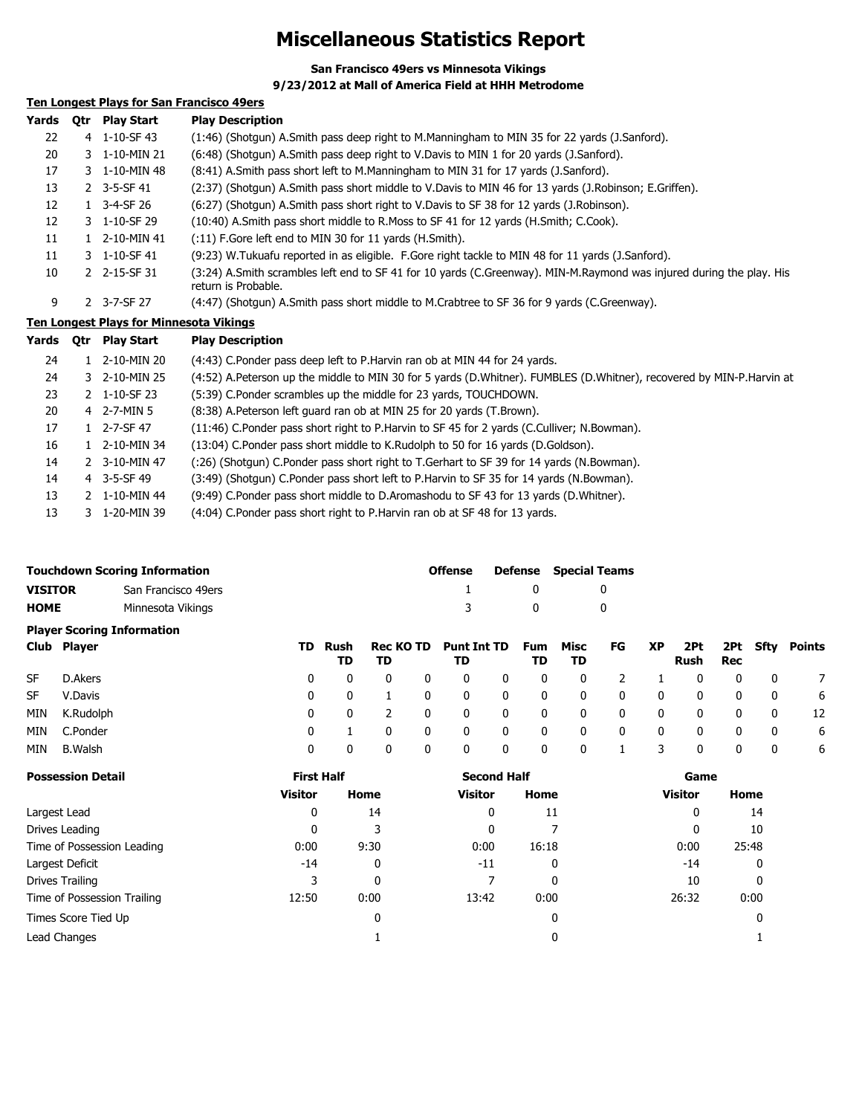### **Miscellaneous Statistics Report**

**San Francisco 49ers vs Minnesota Vikings**

#### **9/23/2012 at Mall of America Field at HHH Metrodome**

### **Ten Longest Plays for San Francisco 49ers**

| Yards | 0tr | <b>Play Start</b>                              | <b>Play Description</b>                                                                                                                     |
|-------|-----|------------------------------------------------|---------------------------------------------------------------------------------------------------------------------------------------------|
| 22    |     | 4 1-10-SF 43                                   | (1:46) (Shotgun) A.Smith pass deep right to M.Manningham to MIN 35 for 22 yards (J.Sanford).                                                |
| 20    |     | 3 1-10-MIN 21                                  | (6:48) (Shotgun) A.Smith pass deep right to V.Davis to MIN 1 for 20 yards (J.Sanford).                                                      |
| 17    |     | 3 1-10-MIN 48                                  | (8:41) A.Smith pass short left to M.Manningham to MIN 31 for 17 yards (J.Sanford).                                                          |
| 13    |     | 2 3-5-SF 41                                    | (2:37) (Shotgun) A.Smith pass short middle to V.Davis to MIN 46 for 13 yards (J.Robinson; E.Griffen).                                       |
| 12    |     | 1 3-4-SF 26                                    | (6:27) (Shotgun) A.Smith pass short right to V.Davis to SF 38 for 12 yards (J.Robinson).                                                    |
| 12    |     | 3 1-10-SF 29                                   | (10:40) A.Smith pass short middle to R.Moss to SF 41 for 12 yards (H.Smith; C.Cook).                                                        |
| 11    |     | 1 2-10-MIN 41                                  | $(11)$ F. Gore left end to MIN 30 for 11 yards (H. Smith).                                                                                  |
| 11    |     | 3 1-10-SF 41                                   | (9:23) W.Tukuafu reported in as eligible. F.Gore right tackle to MIN 48 for 11 yards (J.Sanford).                                           |
| 10    |     | 2 2-15-SF 31                                   | (3:24) A.Smith scrambles left end to SF 41 for 10 yards (C.Greenway). MIN-M.Raymond was injured during the play. His<br>return is Probable. |
| 9     |     | 2 3-7-SF 27                                    | (4:47) (Shotgun) A.Smith pass short middle to M.Crabtree to SF 36 for 9 yards (C.Greenway).                                                 |
|       |     | <b>Ten Longest Plays for Minnesota Vikings</b> |                                                                                                                                             |
| Yards | 0tr | <b>Play Start</b>                              | <b>Play Description</b>                                                                                                                     |
| 24    |     | 1 2-10-MIN 20                                  | (4:43) C.Ponder pass deep left to P.Harvin ran ob at MIN 44 for 24 yards.                                                                   |
| 24    |     | 3 2-10-MIN 25                                  | (4:52) A.Peterson up the middle to MIN 30 for 5 yards (D.Whitner). FUMBLES (D.Whitner), recovered by MIN-P.Harvin at                        |
| 23    |     | 2 1-10-SF 23                                   | (5:39) C.Ponder scrambles up the middle for 23 yards, TOUCHDOWN.                                                                            |
| 20    |     | 4 2-7-MIN 5                                    | (8:38) A.Peterson left guard ran ob at MIN 25 for 20 yards (T.Brown).                                                                       |

| 17 | $1 \quad 2 - 7 - SF$ 47 | (11:46) C.Ponder pass short right to P.Harvin to SF 45 for 2 yards (C.Culliver; N.Bowman). |
|----|-------------------------|--------------------------------------------------------------------------------------------|
| 16 | 1 2-10-MIN 34           | (13:04) C.Ponder pass short middle to K.Rudolph to 50 for 16 yards (D.Goldson).            |
| 14 | 2 3-10-MIN 47           | (:26) (Shotqun) C.Ponder pass short right to T.Gerhart to SF 39 for 14 yards (N.Bowman).   |
| 14 | $4$ 3-5-SF 49           | (3:49) (Shotqun) C.Ponder pass short left to P.Harvin to SF 35 for 14 yards (N.Bowman).    |
| 13 | 2 1-10-MIN 44           | (9:49) C.Ponder pass short middle to D.Aromashodu to SF 43 for 13 yards (D.Whitner).       |

13 3 1-20-MIN 39 (4:04) C.Ponder pass short right to P.Harvin ran ob at SF 48 for 13 yards.

|         | Touchdown Scoring Information | <b>Offense</b> |              | <b>Defense</b> Special Teams |
|---------|-------------------------------|----------------|--------------|------------------------------|
| VISITOR | San Francisco 49ers           |                | $\mathbf{u}$ |                              |
| НОМЕ    | Minnesota Vikings             |                | $\mathsf{n}$ |                              |

|           | <b>Player Scoring Information</b> |          |            |                        |          |                          |             |           |              |    |    |              |     |              |        |
|-----------|-----------------------------------|----------|------------|------------------------|----------|--------------------------|-------------|-----------|--------------|----|----|--------------|-----|--------------|--------|
|           | Club Player                       | TD .     | Rush<br>TD | <b>Rec KO TD</b><br>TD |          | <b>Punt Int TD</b><br>TD |             | Fum<br>TD | Misc<br>TD   | FG | XP | 2Pt<br>Rush  | Rec | 2Pt Sfty     | Points |
| <b>SF</b> | D.Akers                           | $\Omega$ | 0          |                        | $\Omega$ | 0                        | 0           | 0         | $\mathbf{0}$ |    |    |              | 0   | 0            |        |
| <b>SF</b> | V.Davis                           | 0        | 0          |                        | 0        | 0                        | 0           | 0         | 0            | 0  | 0  |              | 0   | 0            | 6      |
| MIN       | K.Rudolph                         | 0        | $\Omega$   |                        | 0        | 0                        | 0           | 0         | $\mathbf{0}$ | 0  | 0  | $\mathbf{0}$ | 0   | $\mathbf{0}$ | 12     |
| MIN       | C.Ponder                          | 0        |            |                        | 0        | 0                        | $\mathbf 0$ | 0         | $\mathbf{0}$ | 0  | 0  |              | 0   | 0            | 6      |
| MIN       | <b>B.Walsh</b>                    | 0        | 0          |                        | 0        | 0                        | $\mathbf 0$ | 0         | 0            |    | 3  |              | 0   | 0            | 6      |

| <b>Possession Detail</b>    | <b>First Half</b> |      | <b>Second Half</b> |       | Game           |       |  |  |
|-----------------------------|-------------------|------|--------------------|-------|----------------|-------|--|--|
|                             | <b>Visitor</b>    | Home | <b>Visitor</b>     | Home  | <b>Visitor</b> | Home  |  |  |
| Largest Lead                | 0                 | 14   | 0                  | 11    | 0              | 14    |  |  |
| Drives Leading              | 0                 | 3    | 0                  |       | 0              | 10    |  |  |
| Time of Possession Leading  | 0:00              | 9:30 | 0:00               | 16:18 | 0:00           | 25:48 |  |  |
| Largest Deficit             | -14               | 0    | $-11$              | 0     | $-14$          | 0     |  |  |
| Drives Trailing             | 3                 | 0    |                    | 0     | 10             |       |  |  |
| Time of Possession Trailing | 12:50             | 0:00 | 13:42              | 0:00  | 26:32          | 0:00  |  |  |
| Times Score Tied Up         |                   | 0    |                    | 0     |                |       |  |  |
| Lead Changes                |                   |      |                    |       |                |       |  |  |